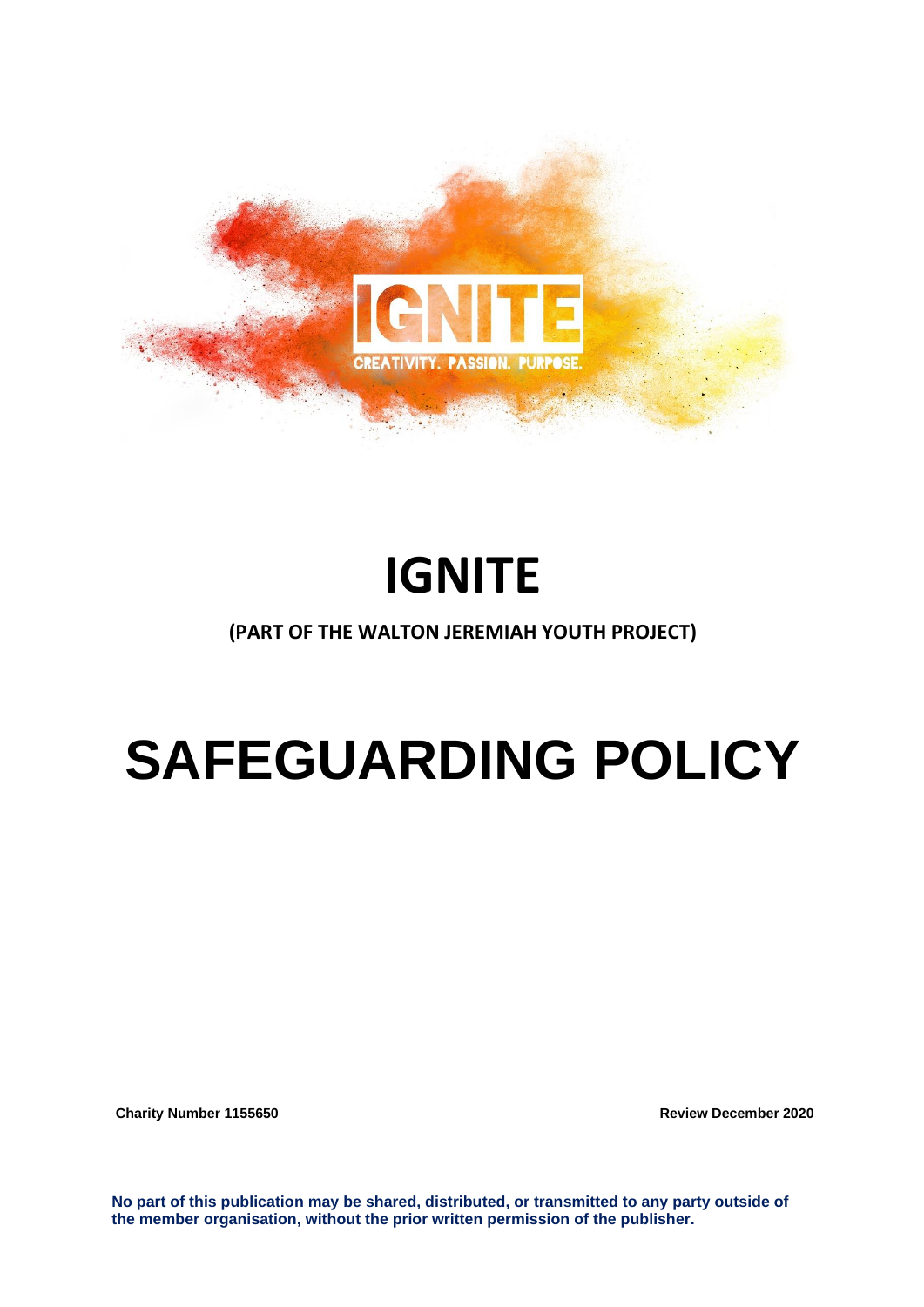

# **IGNITE**

## **(PART OF THE WALTON JEREMIAH YOUTH PROJECT)**

# **SAFEGUARDING POLICY**

**Charity Number 1155650 Charity Number 1155650** 

**No part of this publication may be shared, distributed, or transmitted to any party outside of the member organisation, without the prior written permission of the publisher.**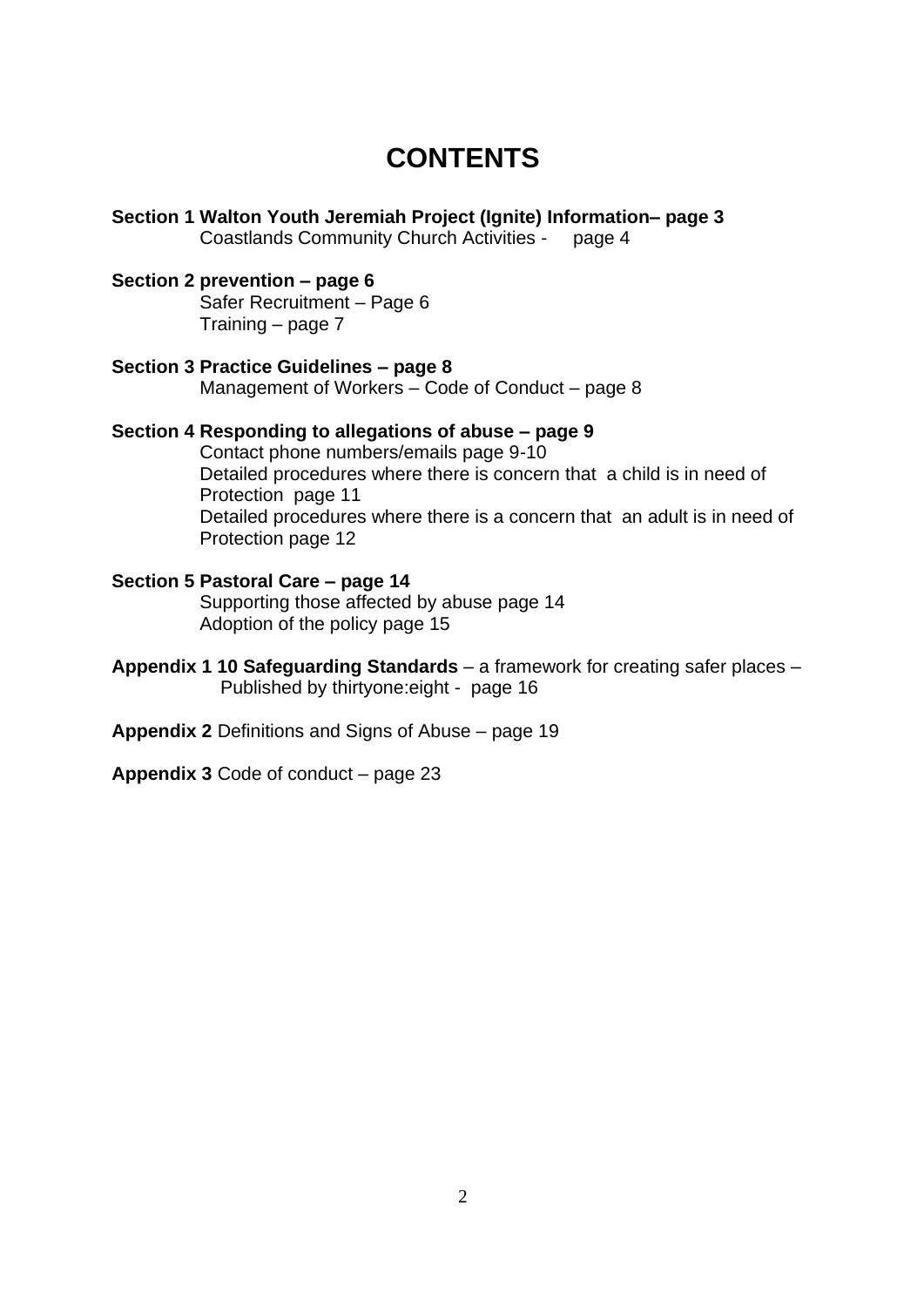## **CONTENTS**

- **Section 1 Walton Youth Jeremiah Project (Ignite) Information– page 3** Coastlands Community Church Activities - page 4 **Section 2 prevention – page 6** Safer Recruitment – Page 6 Training – page 7 **Section 3 Practice Guidelines – page 8** Management of Workers – Code of Conduct – page 8 **Section 4 Responding to allegations of abuse – page 9** Contact phone numbers/emails page 9-10 Detailed procedures where there is concern that a child is in need of Protection page 11 Detailed procedures where there is a concern that an adult is in need of Protection page 12 **Section 5 Pastoral Care – page 14** Supporting those affected by abuse page 14 Adoption of the policy page 15
- **Appendix 1 10 Safeguarding Standards** a framework for creating safer places Published by thirtyone:eight - page 16
- **Appendix 2** Definitions and Signs of Abuse page 19
- **Appendix 3** Code of conduct page 23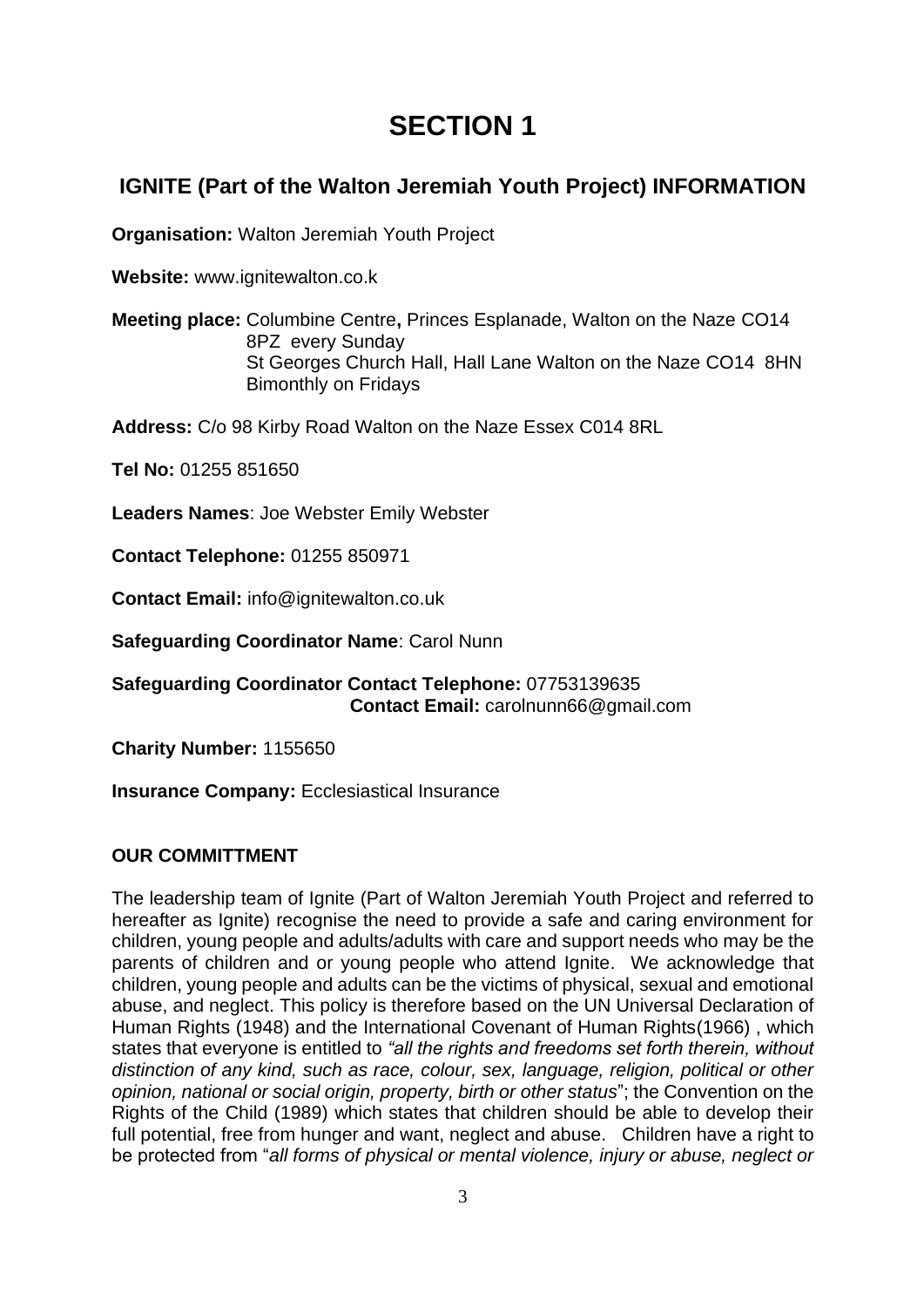## **SECTION 1**

## **IGNITE (Part of the Walton Jeremiah Youth Project) INFORMATION**

**Organisation:** Walton Jeremiah Youth Project

**Website:** www.ignitewalton.co.k

**Meeting place:** Columbine Centre**,** Princes Esplanade, Walton on the Naze CO14 8PZ every Sunday St Georges Church Hall, Hall Lane Walton on the Naze CO14 8HN Bimonthly on Fridays

**Address:** C/o 98 Kirby Road Walton on the Naze Essex C014 8RL

**Tel No:** 01255 851650

**Leaders Names**: Joe Webster Emily Webster

**Contact Telephone:** 01255 850971

**Contact Email:** info@ignitewalton.co.uk

**Safeguarding Coordinator Name**: Carol Nunn

**Safeguarding Coordinator Contact Telephone:** 07753139635  **Contact Email:** carolnunn66@gmail.com

**Charity Number:** 1155650

**Insurance Company:** Ecclesiastical Insurance

#### **OUR COMMITTMENT**

The leadership team of Ignite (Part of Walton Jeremiah Youth Project and referred to hereafter as Ignite) recognise the need to provide a safe and caring environment for children, young people and adults/adults with care and support needs who may be the parents of children and or young people who attend Ignite. We acknowledge that children, young people and adults can be the victims of physical, sexual and emotional abuse, and neglect. This policy is therefore based on the UN Universal Declaration of Human Rights (1948) and the International Covenant of Human Rights(1966) , which states that everyone is entitled to *"all the rights and freedoms set forth therein, without distinction of any kind, such as race, colour, sex, language, religion, political or other opinion, national or social origin, property, birth or other status*"; the Convention on the Rights of the Child (1989) which states that children should be able to develop their full potential, free from hunger and want, neglect and abuse. Children have a right to be protected from "*all forms of physical or mental violence, injury or abuse, neglect or*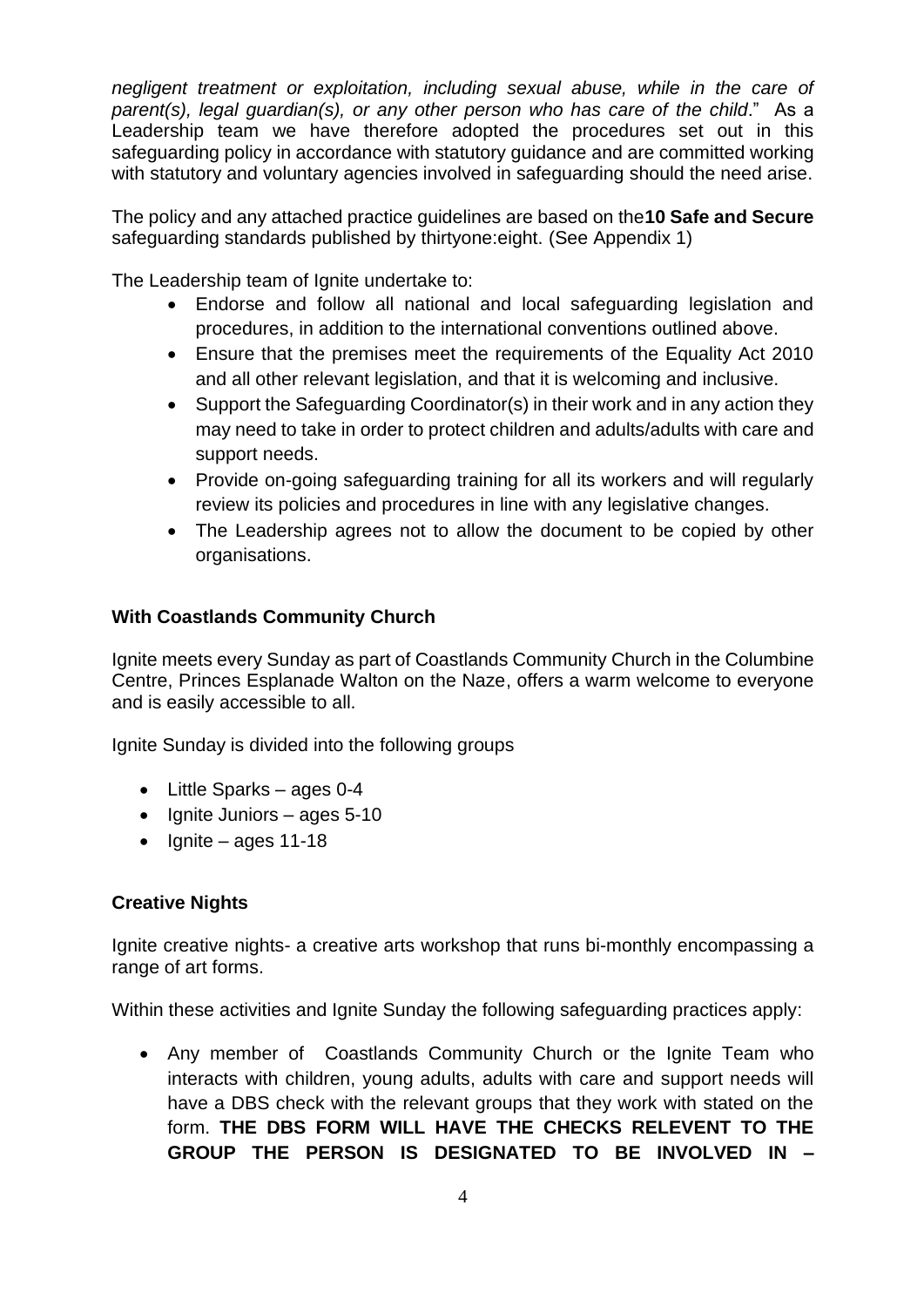*negligent treatment or exploitation, including sexual abuse, while in the care of parent(s), legal guardian(s), or any other person who has care of the child*." As a Leadership team we have therefore adopted the procedures set out in this safeguarding policy in accordance with statutory guidance and are committed working with statutory and voluntary agencies involved in safeguarding should the need arise.

The policy and any attached practice guidelines are based on the**10 Safe and Secure** safeguarding standards published by thirtyone:eight. (See Appendix 1)

The Leadership team of Ignite undertake to:

- Endorse and follow all national and local safeguarding legislation and procedures, in addition to the international conventions outlined above.
- Ensure that the premises meet the requirements of the Equality Act 2010 and all other relevant legislation, and that it is welcoming and inclusive.
- Support the Safeguarding Coordinator(s) in their work and in any action they may need to take in order to protect children and adults/adults with care and support needs.
- Provide on-going safeguarding training for all its workers and will regularly review its policies and procedures in line with any legislative changes.
- The Leadership agrees not to allow the document to be copied by other organisations.

#### **With Coastlands Community Church**

Ignite meets every Sunday as part of Coastlands Community Church in the Columbine Centre, Princes Esplanade Walton on the Naze, offers a warm welcome to everyone and is easily accessible to all.

Ignite Sunday is divided into the following groups

- Little Sparks ages 0-4
- Ignite Juniors ages 5-10
- $\bullet$  Ignite ages 11-18

#### **Creative Nights**

Ignite creative nights- a creative arts workshop that runs bi-monthly encompassing a range of art forms.

Within these activities and Ignite Sunday the following safeguarding practices apply:

• Any member of Coastlands Community Church or the Ignite Team who interacts with children, young adults, adults with care and support needs will have a DBS check with the relevant groups that they work with stated on the form. **THE DBS FORM WILL HAVE THE CHECKS RELEVENT TO THE GROUP THE PERSON IS DESIGNATED TO BE INVOLVED IN –**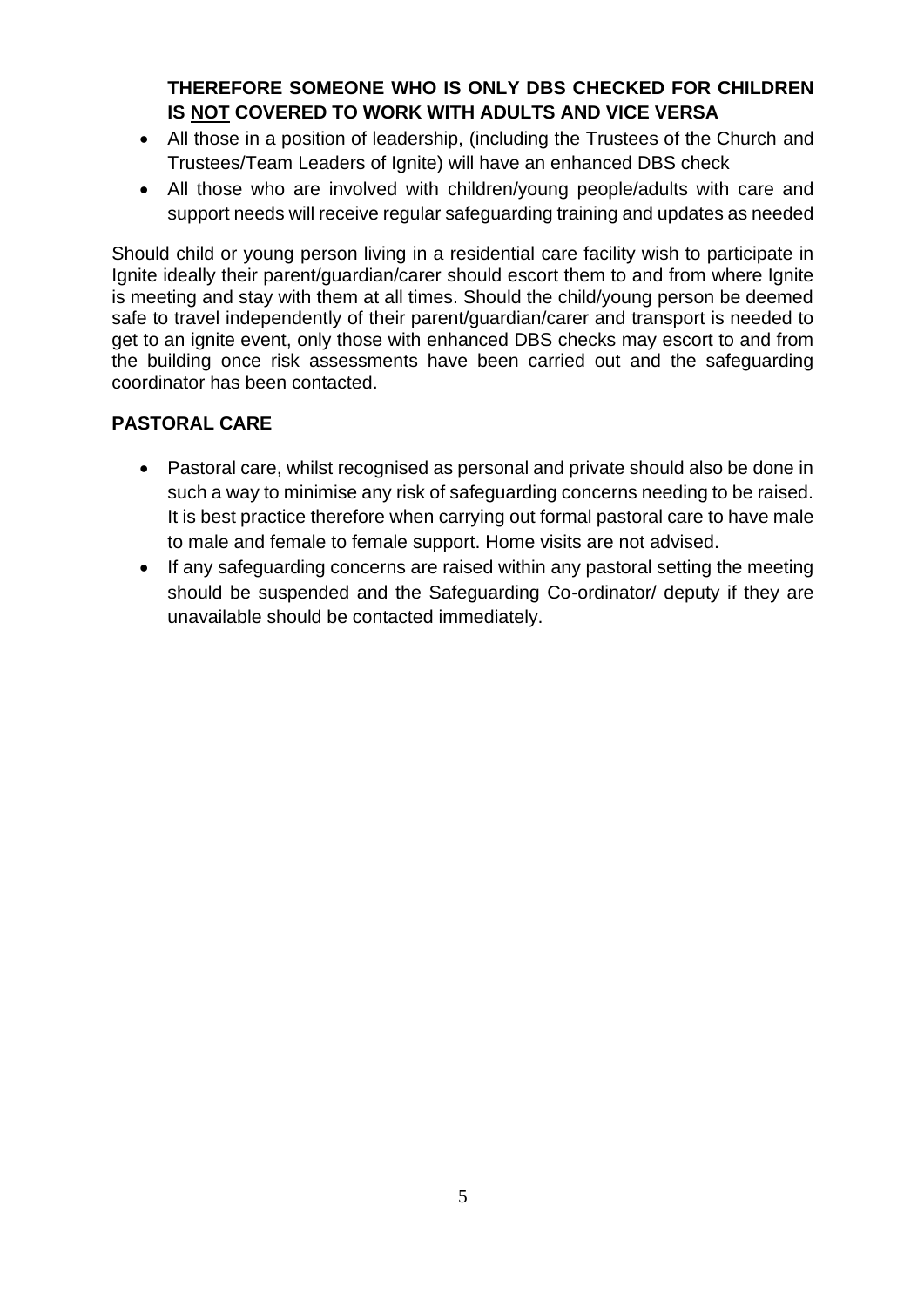## **THEREFORE SOMEONE WHO IS ONLY DBS CHECKED FOR CHILDREN IS NOT COVERED TO WORK WITH ADULTS AND VICE VERSA**

- All those in a position of leadership, (including the Trustees of the Church and Trustees/Team Leaders of Ignite) will have an enhanced DBS check
- All those who are involved with children/young people/adults with care and support needs will receive regular safeguarding training and updates as needed

Should child or young person living in a residential care facility wish to participate in Ignite ideally their parent/guardian/carer should escort them to and from where Ignite is meeting and stay with them at all times. Should the child/young person be deemed safe to travel independently of their parent/guardian/carer and transport is needed to get to an ignite event, only those with enhanced DBS checks may escort to and from the building once risk assessments have been carried out and the safeguarding coordinator has been contacted.

### **PASTORAL CARE**

- Pastoral care, whilst recognised as personal and private should also be done in such a way to minimise any risk of safeguarding concerns needing to be raised. It is best practice therefore when carrying out formal pastoral care to have male to male and female to female support. Home visits are not advised.
- If any safeguarding concerns are raised within any pastoral setting the meeting should be suspended and the Safeguarding Co-ordinator/ deputy if they are unavailable should be contacted immediately.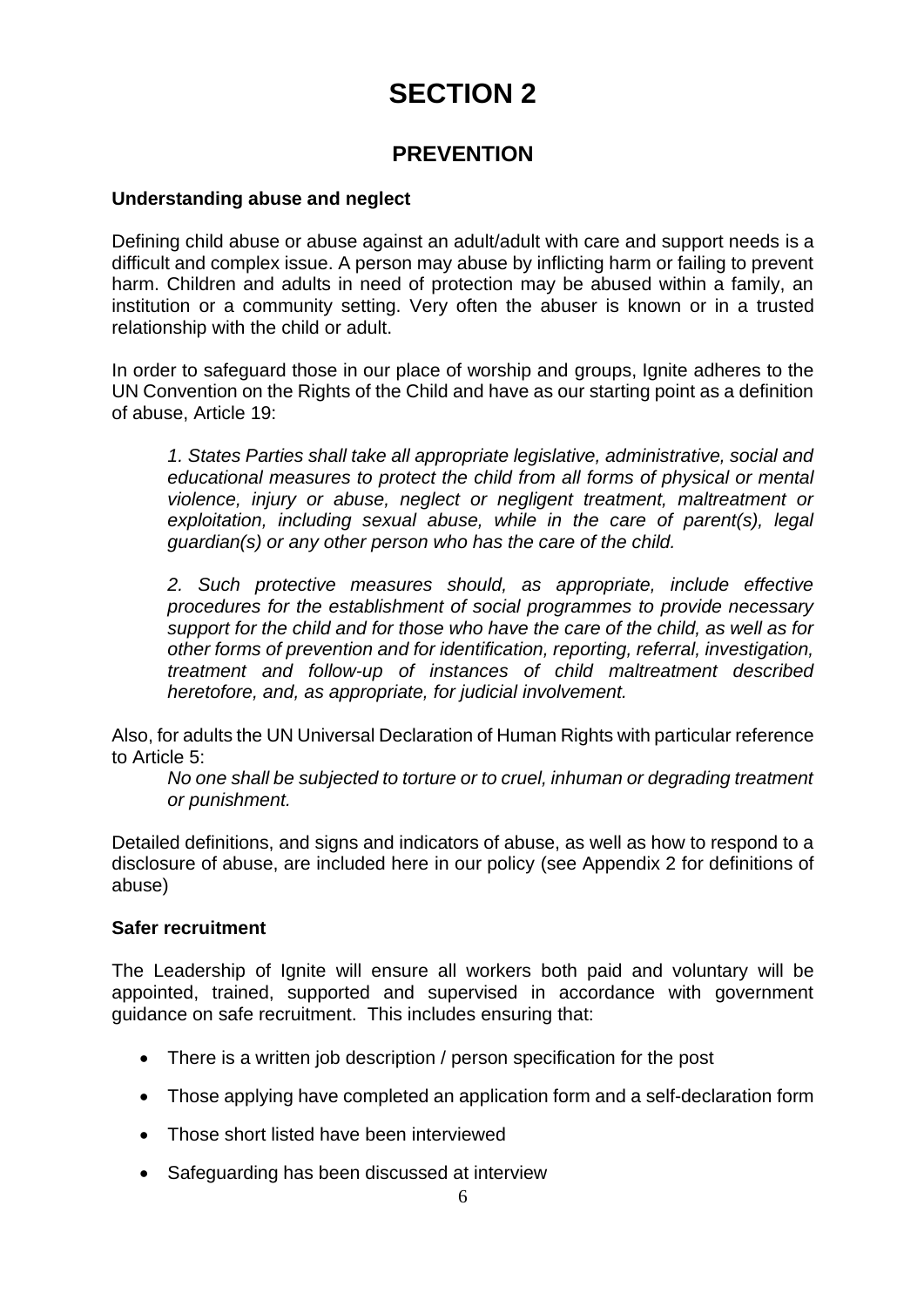# **SECTION 2**

## **PREVENTION**

#### **Understanding abuse and neglect**

Defining child abuse or abuse against an adult/adult with care and support needs is a difficult and complex issue. A person may abuse by inflicting harm or failing to prevent harm. Children and adults in need of protection may be abused within a family, an institution or a community setting. Very often the abuser is known or in a trusted relationship with the child or adult.

In order to safeguard those in our place of worship and groups, Ignite adheres to the UN Convention on the Rights of the Child and have as our starting point as a definition of abuse, Article 19:

*1. States Parties shall take all appropriate legislative, administrative, social and educational measures to protect the child from all forms of physical or mental violence, injury or abuse, neglect or negligent treatment, maltreatment or exploitation, including sexual abuse, while in the care of parent(s), legal guardian(s) or any other person who has the care of the child.* 

*2. Such protective measures should, as appropriate, include effective procedures for the establishment of social programmes to provide necessary support for the child and for those who have the care of the child, as well as for other forms of prevention and for identification, reporting, referral, investigation, treatment and follow-up of instances of child maltreatment described heretofore, and, as appropriate, for judicial involvement.* 

Also, for adults the UN Universal Declaration of Human Rights with particular reference to Article 5:

*No one shall be subjected to torture or to cruel, inhuman or degrading treatment or punishment.*

Detailed definitions, and signs and indicators of abuse, as well as how to respond to a disclosure of abuse, are included here in our policy (see Appendix 2 for definitions of abuse)

#### **Safer recruitment**

The Leadership of Ignite will ensure all workers both paid and voluntary will be appointed, trained, supported and supervised in accordance with government guidance on safe recruitment. This includes ensuring that:

- There is a written job description / person specification for the post
- Those applying have completed an application form and a self-declaration form
- Those short listed have been interviewed
- Safeguarding has been discussed at interview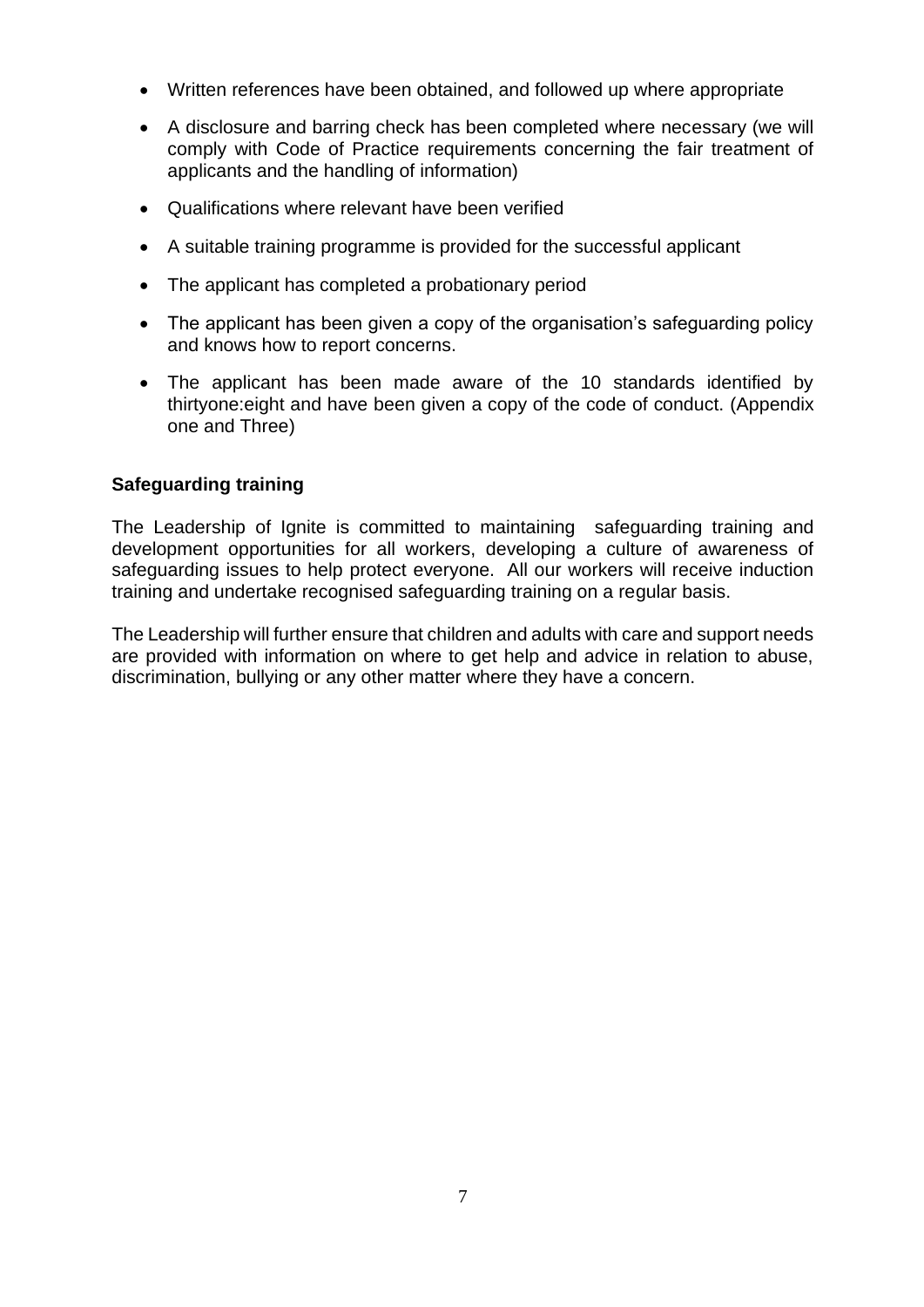- Written references have been obtained, and followed up where appropriate
- A disclosure and barring check has been completed where necessary (we will comply with Code of Practice requirements concerning the fair treatment of applicants and the handling of information)
- Qualifications where relevant have been verified
- A suitable training programme is provided for the successful applicant
- The applicant has completed a probationary period
- The applicant has been given a copy of the organisation's safeguarding policy and knows how to report concerns.
- The applicant has been made aware of the 10 standards identified by thirtyone:eight and have been given a copy of the code of conduct. (Appendix one and Three)

#### **Safeguarding training**

The Leadership of Ignite is committed to maintaining safeguarding training and development opportunities for all workers, developing a culture of awareness of safeguarding issues to help protect everyone. All our workers will receive induction training and undertake recognised safeguarding training on a regular basis.

The Leadership will further ensure that children and adults with care and support needs are provided with information on where to get help and advice in relation to abuse, discrimination, bullying or any other matter where they have a concern.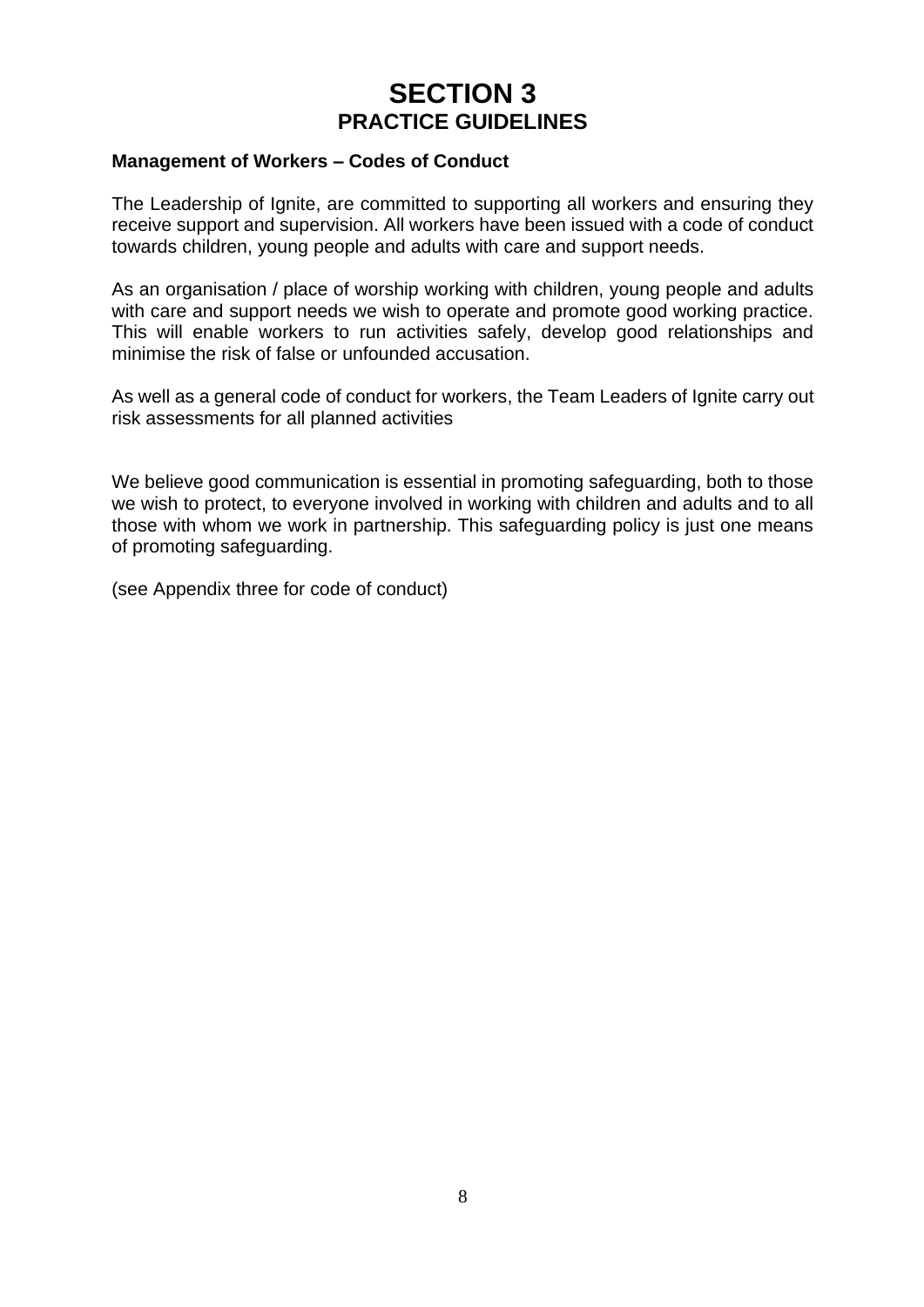## **SECTION 3 PRACTICE GUIDELINES**

#### **Management of Workers – Codes of Conduct**

The Leadership of Ignite, are committed to supporting all workers and ensuring they receive support and supervision. All workers have been issued with a code of conduct towards children, young people and adults with care and support needs.

As an organisation / place of worship working with children, young people and adults with care and support needs we wish to operate and promote good working practice. This will enable workers to run activities safely, develop good relationships and minimise the risk of false or unfounded accusation.

As well as a general code of conduct for workers, the Team Leaders of Ignite carry out risk assessments for all planned activities

We believe good communication is essential in promoting safeguarding, both to those we wish to protect, to everyone involved in working with children and adults and to all those with whom we work in partnership. This safeguarding policy is just one means of promoting safeguarding.

(see Appendix three for code of conduct)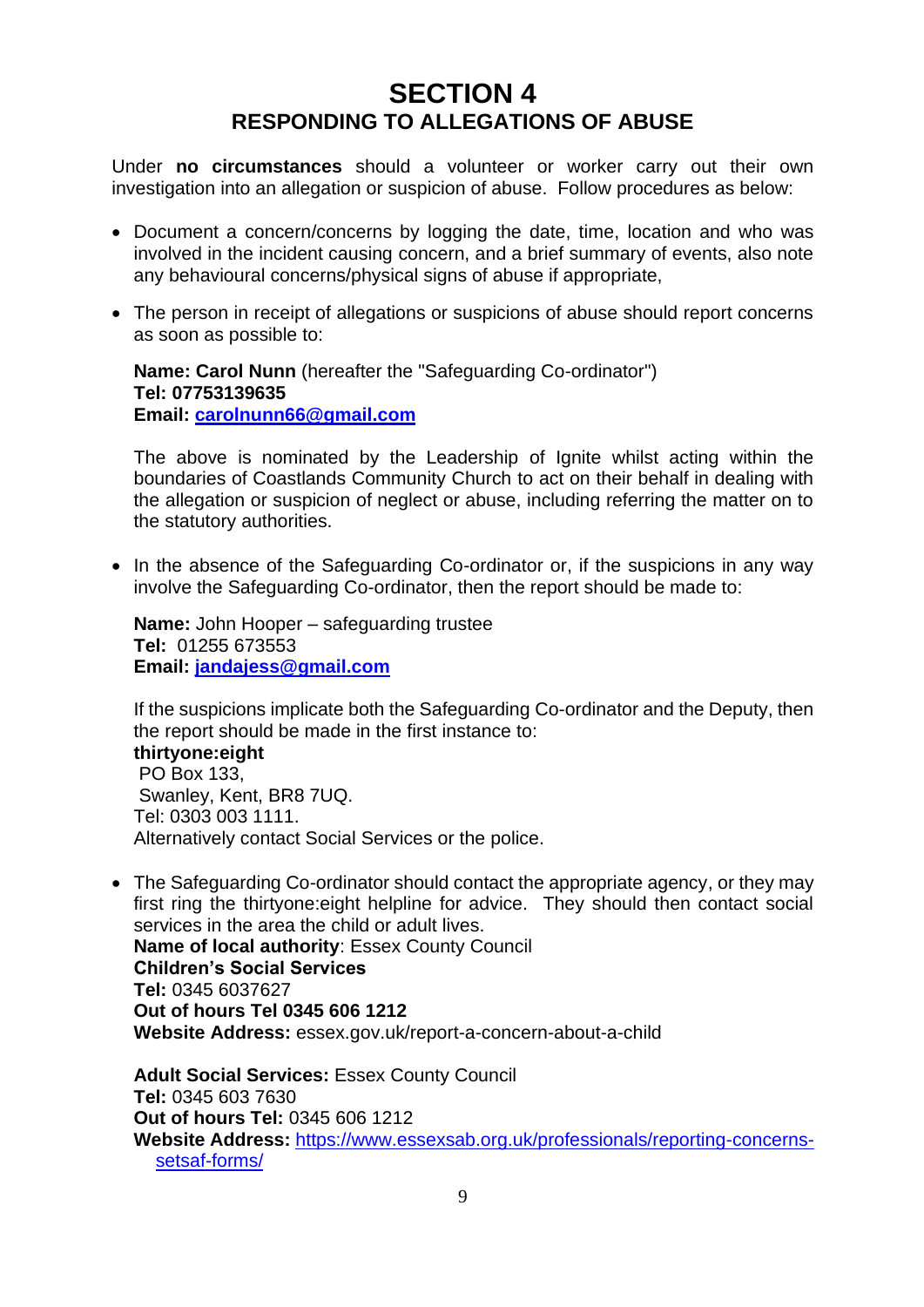## **SECTION 4 RESPONDING TO ALLEGATIONS OF ABUSE**

Under **no circumstances** should a volunteer or worker carry out their own investigation into an allegation or suspicion of abuse. Follow procedures as below:

- Document a concern/concerns by logging the date, time, location and who was involved in the incident causing concern, and a brief summary of events, also note any behavioural concerns/physical signs of abuse if appropriate,
- The person in receipt of allegations or suspicions of abuse should report concerns as soon as possible to:

**Name: Carol Nunn** (hereafter the "Safeguarding Co-ordinator") **Tel: 07753139635 Email: [carolnunn66@gmail.com](mailto:carolnunn66@gmail.com)**

The above is nominated by the Leadership of Ignite whilst acting within the boundaries of Coastlands Community Church to act on their behalf in dealing with the allegation or suspicion of neglect or abuse, including referring the matter on to the statutory authorities.

• In the absence of the Safeguarding Co-ordinator or, if the suspicions in any way involve the Safeguarding Co-ordinator, then the report should be made to:

**Name:** John Hooper – safeguarding trustee **Tel:** 01255 673553 **Email: [jandajess@gmail.com](mailto:jandajess@gmail.com)**

If the suspicions implicate both the Safeguarding Co-ordinator and the Deputy, then the report should be made in the first instance to:

**thirtyone:eight** PO Box 133, Swanley, Kent, BR8 7UQ. Tel: 0303 003 1111. Alternatively contact Social Services or the police.

• The Safeguarding Co-ordinator should contact the appropriate agency, or they may first ring the thirtyone:eight helpline for advice. They should then contact social services in the area the child or adult lives. **Name of local authority**: Essex County Council **Children's Social Services Tel:** 0345 6037627 **Out of hours Tel 0345 606 1212 Website Address:** essex.gov.uk/report-a-concern-about-a-child

**Adult Social Services:** Essex County Council **Tel:** 0345 603 7630 **Out of hours Tel:** 0345 606 1212 **Website Address:** [https://www.essexsab.org.uk/professionals/reporting-concerns](https://www.essexsab.org.uk/professionals/reporting-concerns-setsaf-forms/)[setsaf-forms/](https://www.essexsab.org.uk/professionals/reporting-concerns-setsaf-forms/)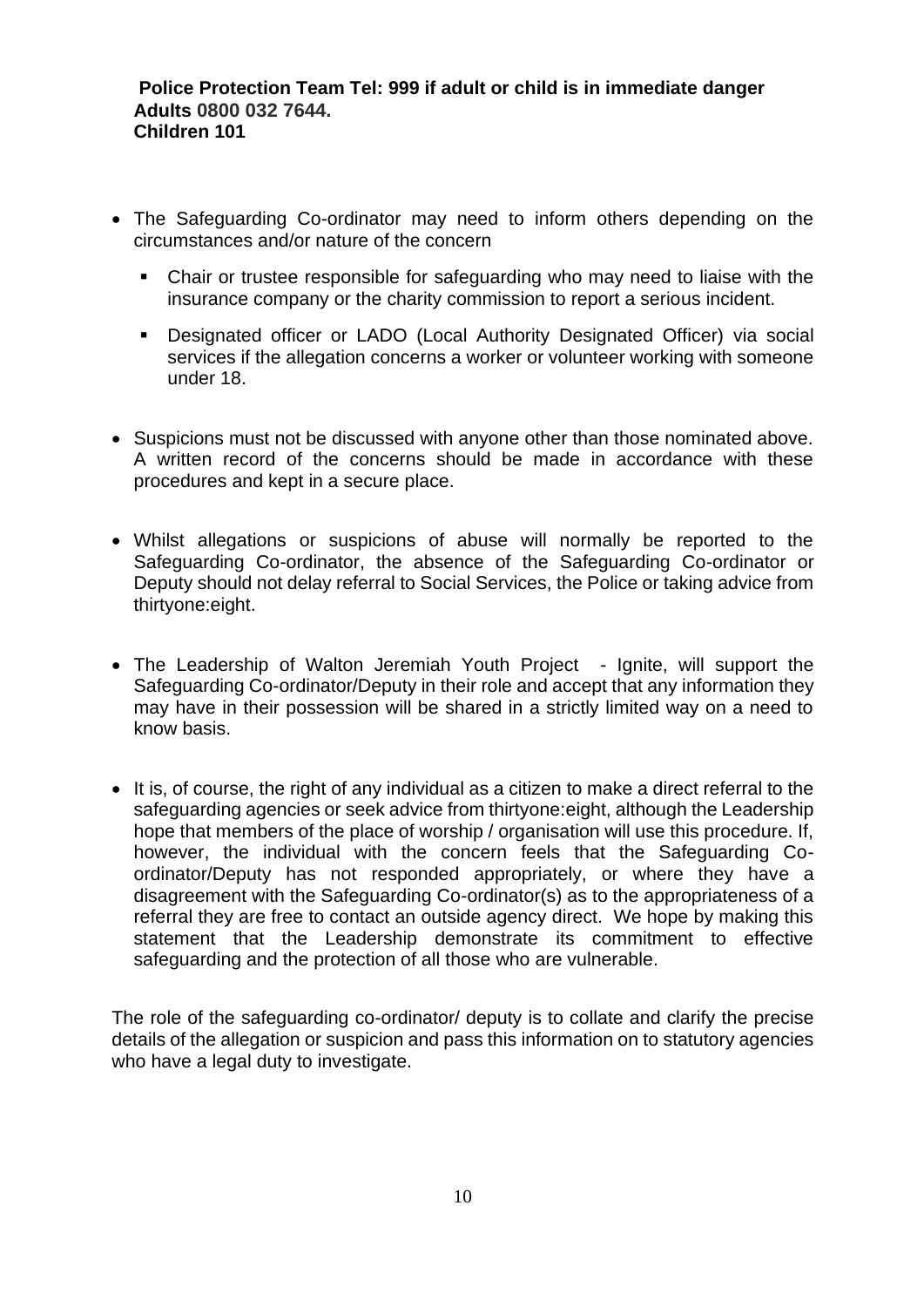#### **Police Protection Team Tel: 999 if adult or child is in immediate danger Adults 0800 032 7644. Children 101**

- The Safeguarding Co-ordinator may need to inform others depending on the circumstances and/or nature of the concern
	- Chair or trustee responsible for safeguarding who may need to liaise with the insurance company or the charity commission to report a serious incident.
	- **•** Designated officer or LADO (Local Authority Designated Officer) via social services if the allegation concerns a worker or volunteer working with someone under 18.
- Suspicions must not be discussed with anyone other than those nominated above. A written record of the concerns should be made in accordance with these procedures and kept in a secure place.
- Whilst allegations or suspicions of abuse will normally be reported to the Safeguarding Co-ordinator, the absence of the Safeguarding Co-ordinator or Deputy should not delay referral to Social Services, the Police or taking advice from thirtyone:eight.
- The Leadership of Walton Jeremiah Youth Project Ignite, will support the Safeguarding Co-ordinator/Deputy in their role and accept that any information they may have in their possession will be shared in a strictly limited way on a need to know basis.
- It is, of course, the right of any individual as a citizen to make a direct referral to the safeguarding agencies or seek advice from thirtyone:eight, although the Leadership hope that members of the place of worship / organisation will use this procedure. If, however, the individual with the concern feels that the Safeguarding Coordinator/Deputy has not responded appropriately, or where they have a disagreement with the Safeguarding Co-ordinator(s) as to the appropriateness of a referral they are free to contact an outside agency direct. We hope by making this statement that the Leadership demonstrate its commitment to effective safeguarding and the protection of all those who are vulnerable.

The role of the safeguarding co-ordinator/ deputy is to collate and clarify the precise details of the allegation or suspicion and pass this information on to statutory agencies who have a legal duty to investigate.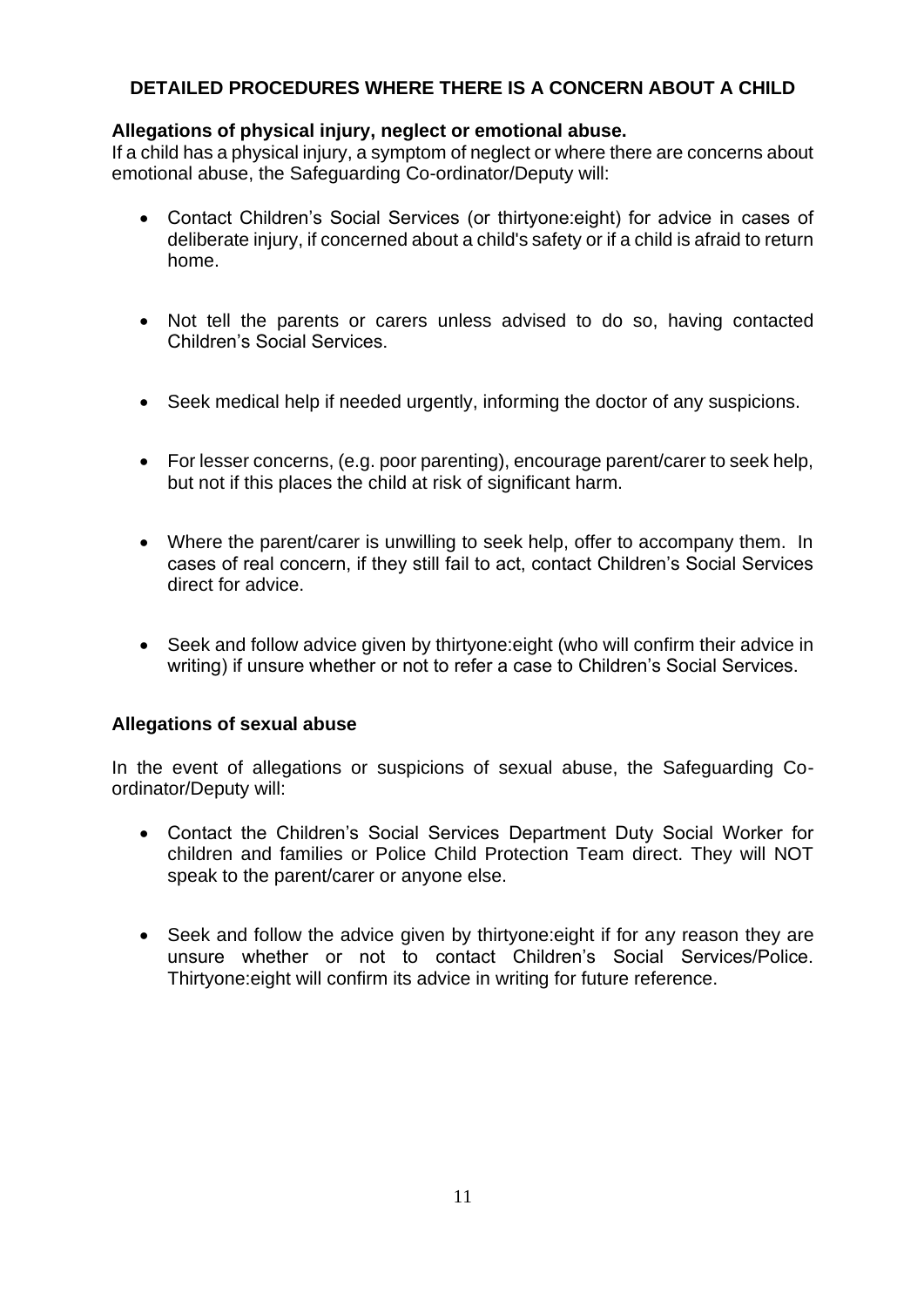#### **DETAILED PROCEDURES WHERE THERE IS A CONCERN ABOUT A CHILD**

#### **Allegations of physical injury, neglect or emotional abuse.**

If a child has a physical injury, a symptom of neglect or where there are concerns about emotional abuse, the Safeguarding Co-ordinator/Deputy will:

- Contact Children's Social Services (or thirtyone:eight) for advice in cases of deliberate injury, if concerned about a child's safety or if a child is afraid to return home.
- Not tell the parents or carers unless advised to do so, having contacted Children's Social Services.
- Seek medical help if needed urgently, informing the doctor of any suspicions.
- For lesser concerns, (e.g. poor parenting), encourage parent/carer to seek help, but not if this places the child at risk of significant harm.
- Where the parent/carer is unwilling to seek help, offer to accompany them. In cases of real concern, if they still fail to act, contact Children's Social Services direct for advice.
- Seek and follow advice given by thirtyone:eight (who will confirm their advice in writing) if unsure whether or not to refer a case to Children's Social Services.

#### **Allegations of sexual abuse**

In the event of allegations or suspicions of sexual abuse, the Safeguarding Coordinator/Deputy will:

- Contact the Children's Social Services Department Duty Social Worker for children and families or Police Child Protection Team direct. They will NOT speak to the parent/carer or anyone else.
- Seek and follow the advice given by thirtyone:eight if for any reason they are unsure whether or not to contact Children's Social Services/Police. Thirtyone:eight will confirm its advice in writing for future reference.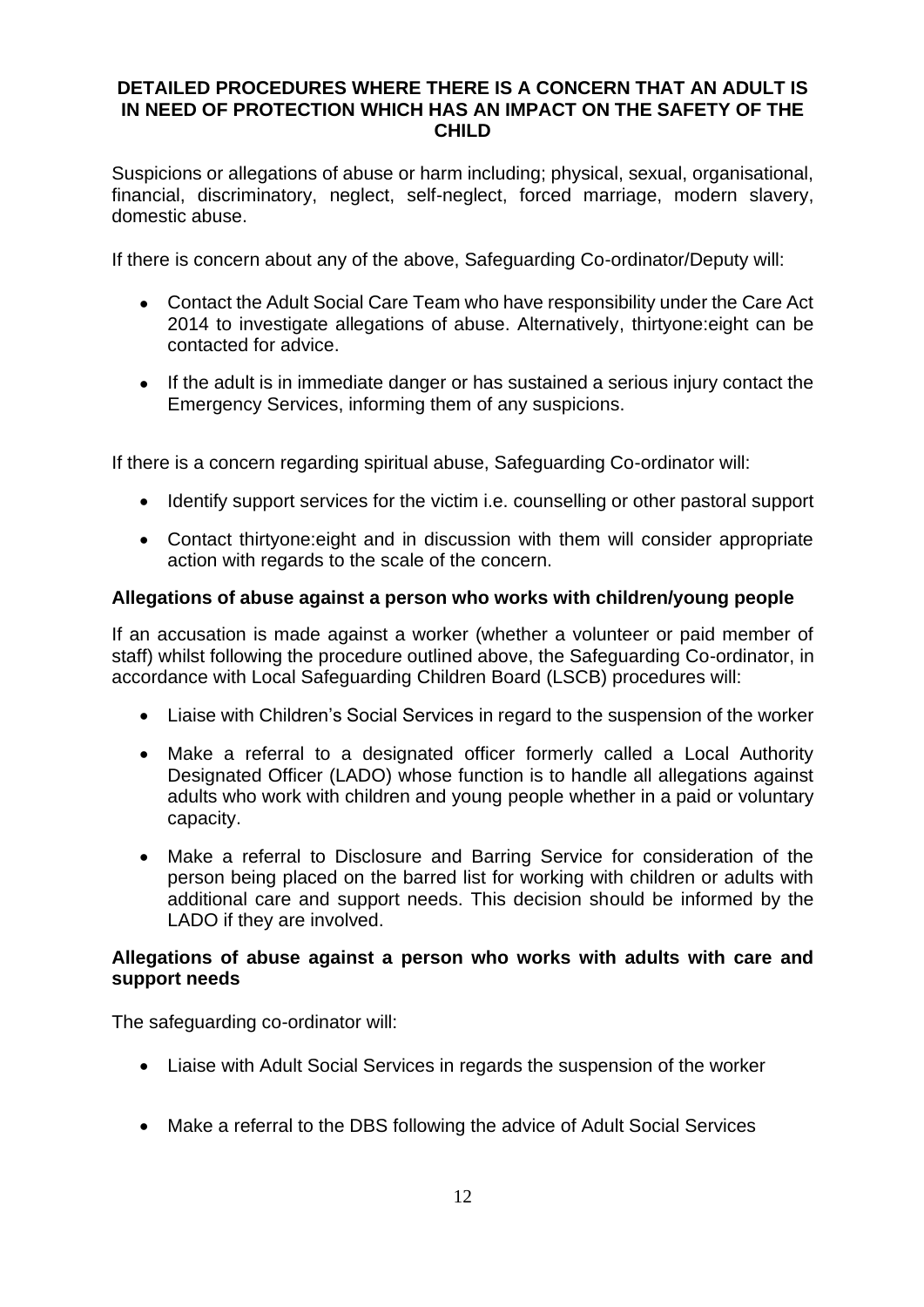#### **DETAILED PROCEDURES WHERE THERE IS A CONCERN THAT AN ADULT IS IN NEED OF PROTECTION WHICH HAS AN IMPACT ON THE SAFETY OF THE CHILD**

Suspicions or allegations of abuse or harm including; physical, sexual, organisational, financial, discriminatory, neglect, self-neglect, forced marriage, modern slavery, domestic abuse.

If there is concern about any of the above, Safeguarding Co-ordinator/Deputy will:

- Contact the Adult Social Care Team who have responsibility under the Care Act 2014 to investigate allegations of abuse. Alternatively, thirtyone:eight can be contacted for advice.
- If the adult is in immediate danger or has sustained a serious injury contact the Emergency Services, informing them of any suspicions.

If there is a concern regarding spiritual abuse, Safeguarding Co-ordinator will:

- Identify support services for the victim i.e. counselling or other pastoral support
- Contact thirtyone:eight and in discussion with them will consider appropriate action with regards to the scale of the concern.

#### **Allegations of abuse against a person who works with children/young people**

If an accusation is made against a worker (whether a volunteer or paid member of staff) whilst following the procedure outlined above, the Safeguarding Co-ordinator, in accordance with Local Safeguarding Children Board (LSCB) procedures will:

- Liaise with Children's Social Services in regard to the suspension of the worker
- Make a referral to a designated officer formerly called a Local Authority Designated Officer (LADO) whose function is to handle all allegations against adults who work with children and young people whether in a paid or voluntary capacity.
- Make a referral to Disclosure and Barring Service for consideration of the person being placed on the barred list for working with children or adults with additional care and support needs. This decision should be informed by the LADO if they are involved.

#### **Allegations of abuse against a person who works with adults with care and support needs**

The safeguarding co-ordinator will:

- Liaise with Adult Social Services in regards the suspension of the worker
- Make a referral to the DBS following the advice of Adult Social Services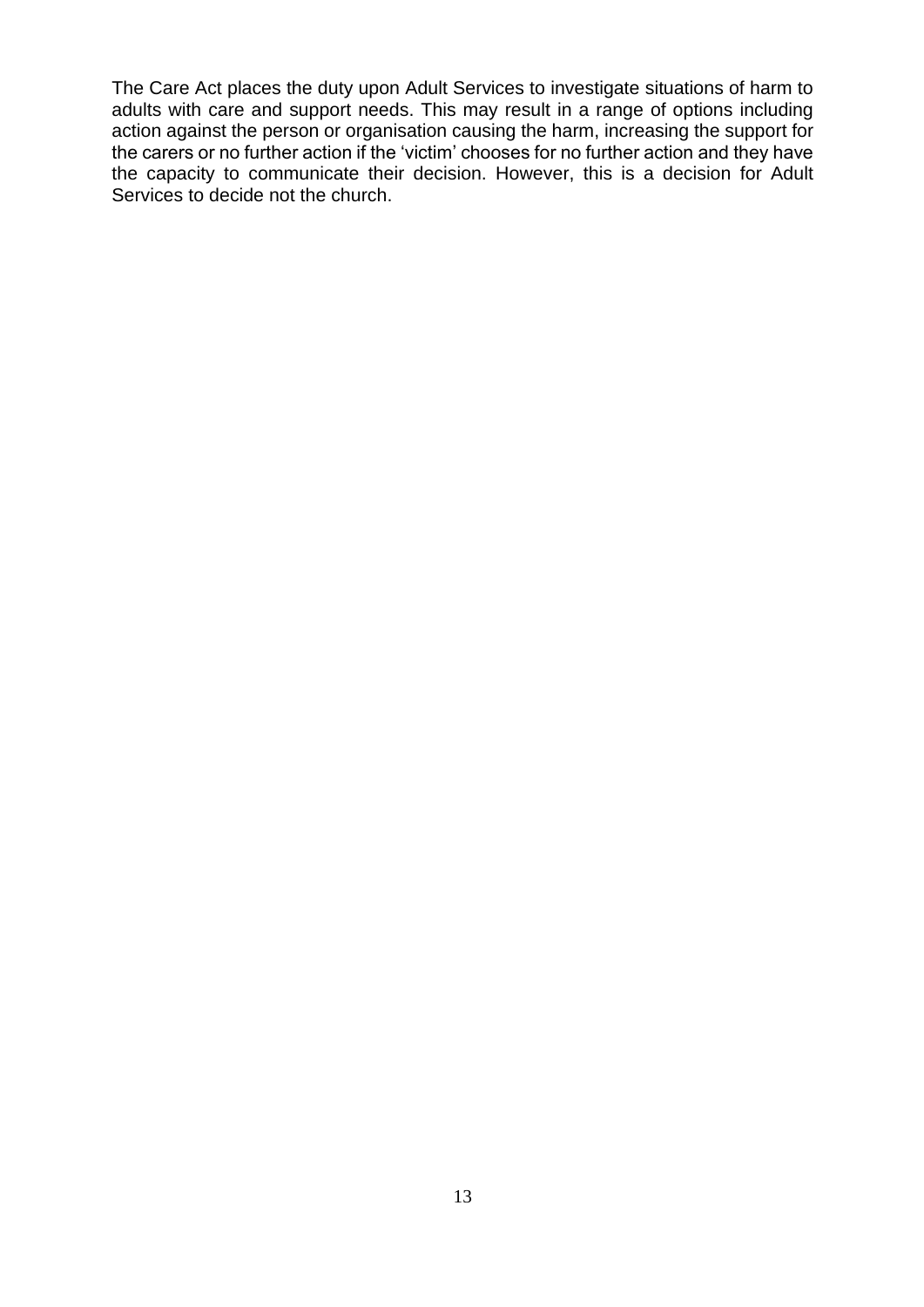The Care Act places the duty upon Adult Services to investigate situations of harm to adults with care and support needs. This may result in a range of options including action against the person or organisation causing the harm, increasing the support for the carers or no further action if the 'victim' chooses for no further action and they have the capacity to communicate their decision. However, this is a decision for Adult Services to decide not the church.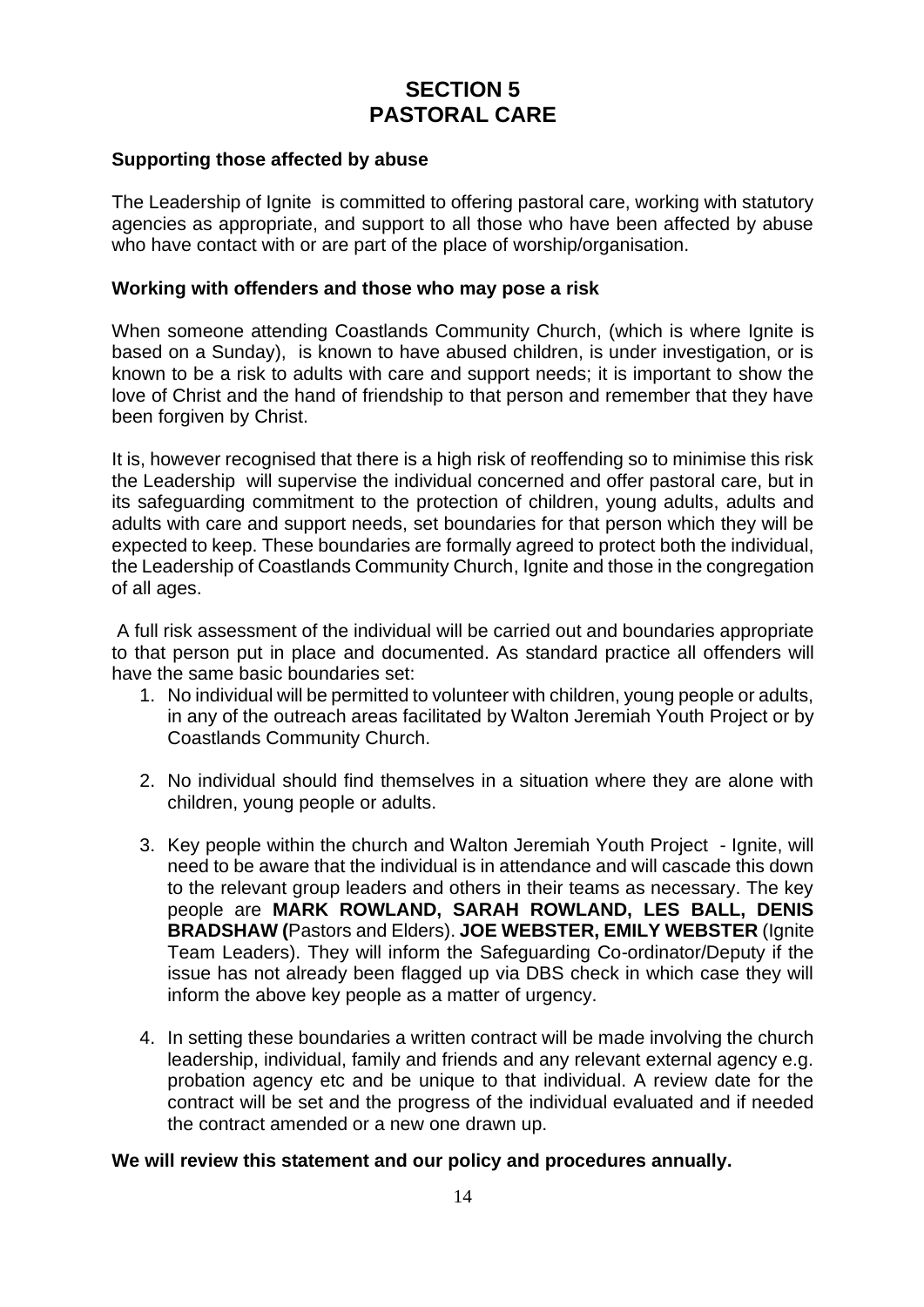## **SECTION 5 PASTORAL CARE**

#### **Supporting those affected by abuse**

The Leadership of Ignite is committed to offering pastoral care, working with statutory agencies as appropriate, and support to all those who have been affected by abuse who have contact with or are part of the place of worship/organisation.

#### **Working with offenders and those who may pose a risk**

When someone attending Coastlands Community Church, (which is where Ignite is based on a Sunday), is known to have abused children, is under investigation, or is known to be a risk to adults with care and support needs; it is important to show the love of Christ and the hand of friendship to that person and remember that they have been forgiven by Christ.

It is, however recognised that there is a high risk of reoffending so to minimise this risk the Leadership will supervise the individual concerned and offer pastoral care, but in its safeguarding commitment to the protection of children, young adults, adults and adults with care and support needs, set boundaries for that person which they will be expected to keep. These boundaries are formally agreed to protect both the individual, the Leadership of Coastlands Community Church, Ignite and those in the congregation of all ages.

A full risk assessment of the individual will be carried out and boundaries appropriate to that person put in place and documented. As standard practice all offenders will have the same basic boundaries set:

- 1. No individual will be permitted to volunteer with children, young people or adults, in any of the outreach areas facilitated by Walton Jeremiah Youth Project or by Coastlands Community Church.
- 2. No individual should find themselves in a situation where they are alone with children, young people or adults.
- 3. Key people within the church and Walton Jeremiah Youth Project Ignite, will need to be aware that the individual is in attendance and will cascade this down to the relevant group leaders and others in their teams as necessary. The key people are **MARK ROWLAND, SARAH ROWLAND, LES BALL, DENIS BRADSHAW (**Pastors and Elders). **JOE WEBSTER, EMILY WEBSTER** (Ignite Team Leaders). They will inform the Safeguarding Co-ordinator/Deputy if the issue has not already been flagged up via DBS check in which case they will inform the above key people as a matter of urgency.
- 4. In setting these boundaries a written contract will be made involving the church leadership, individual, family and friends and any relevant external agency e.g. probation agency etc and be unique to that individual. A review date for the contract will be set and the progress of the individual evaluated and if needed the contract amended or a new one drawn up.

#### **We will review this statement and our policy and procedures annually.**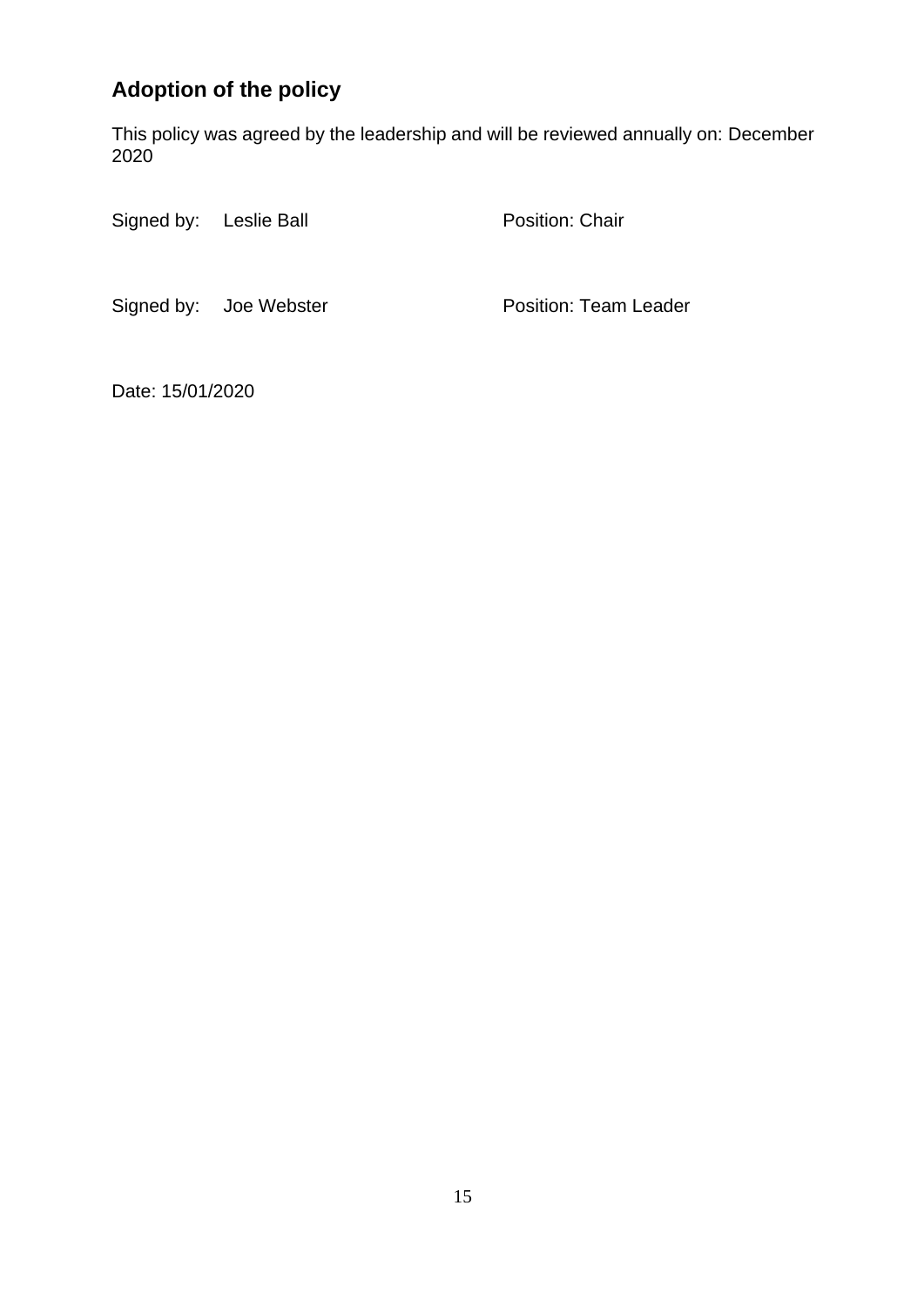## **Adoption of the policy**

This policy was agreed by the leadership and will be reviewed annually on: December 2020

Signed by: Leslie Ball Position: Chair

Signed by: Joe Webster **Position: Team Leader** 

Date: 15/01/2020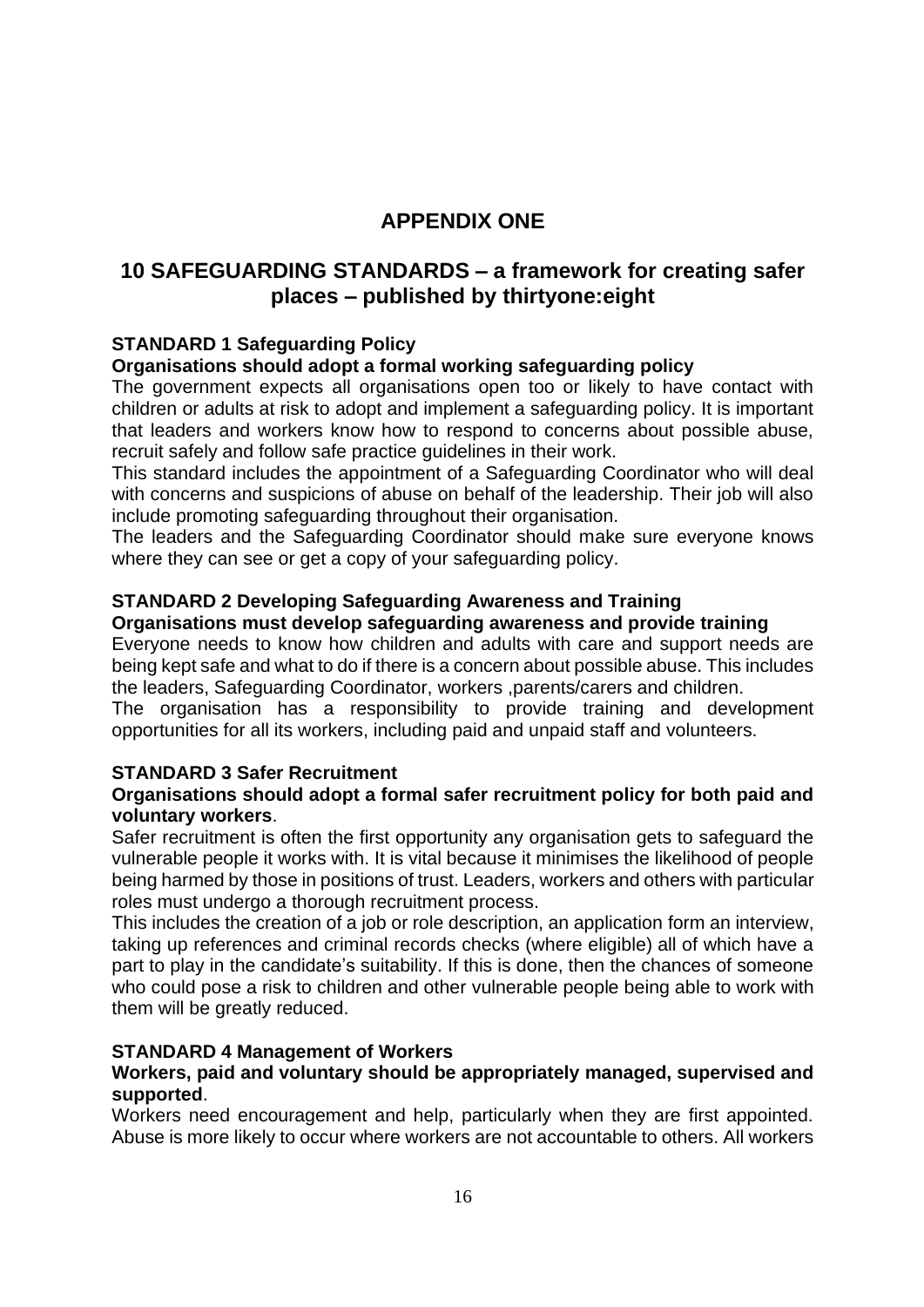## **APPENDIX ONE**

## **10 SAFEGUARDING STANDARDS – a framework for creating safer places – published by thirtyone:eight**

#### **STANDARD 1 Safeguarding Policy**

#### **Organisations should adopt a formal working safeguarding policy**

The government expects all organisations open too or likely to have contact with children or adults at risk to adopt and implement a safeguarding policy. It is important that leaders and workers know how to respond to concerns about possible abuse, recruit safely and follow safe practice guidelines in their work.

This standard includes the appointment of a Safeguarding Coordinator who will deal with concerns and suspicions of abuse on behalf of the leadership. Their job will also include promoting safeguarding throughout their organisation.

The leaders and the Safeguarding Coordinator should make sure everyone knows where they can see or get a copy of your safeguarding policy.

#### **STANDARD 2 Developing Safeguarding Awareness and Training**

#### **Organisations must develop safeguarding awareness and provide training**

Everyone needs to know how children and adults with care and support needs are being kept safe and what to do if there is a concern about possible abuse. This includes the leaders, Safeguarding Coordinator, workers ,parents/carers and children.

The organisation has a responsibility to provide training and development opportunities for all its workers, including paid and unpaid staff and volunteers.

#### **STANDARD 3 Safer Recruitment**

#### **Organisations should adopt a formal safer recruitment policy for both paid and voluntary workers**.

Safer recruitment is often the first opportunity any organisation gets to safeguard the vulnerable people it works with. It is vital because it minimises the likelihood of people being harmed by those in positions of trust. Leaders, workers and others with particular roles must undergo a thorough recruitment process.

This includes the creation of a job or role description, an application form an interview, taking up references and criminal records checks (where eligible) all of which have a part to play in the candidate's suitability. If this is done, then the chances of someone who could pose a risk to children and other vulnerable people being able to work with them will be greatly reduced.

#### **STANDARD 4 Management of Workers**

#### **Workers, paid and voluntary should be appropriately managed, supervised and supported**.

Workers need encouragement and help, particularly when they are first appointed. Abuse is more likely to occur where workers are not accountable to others. All workers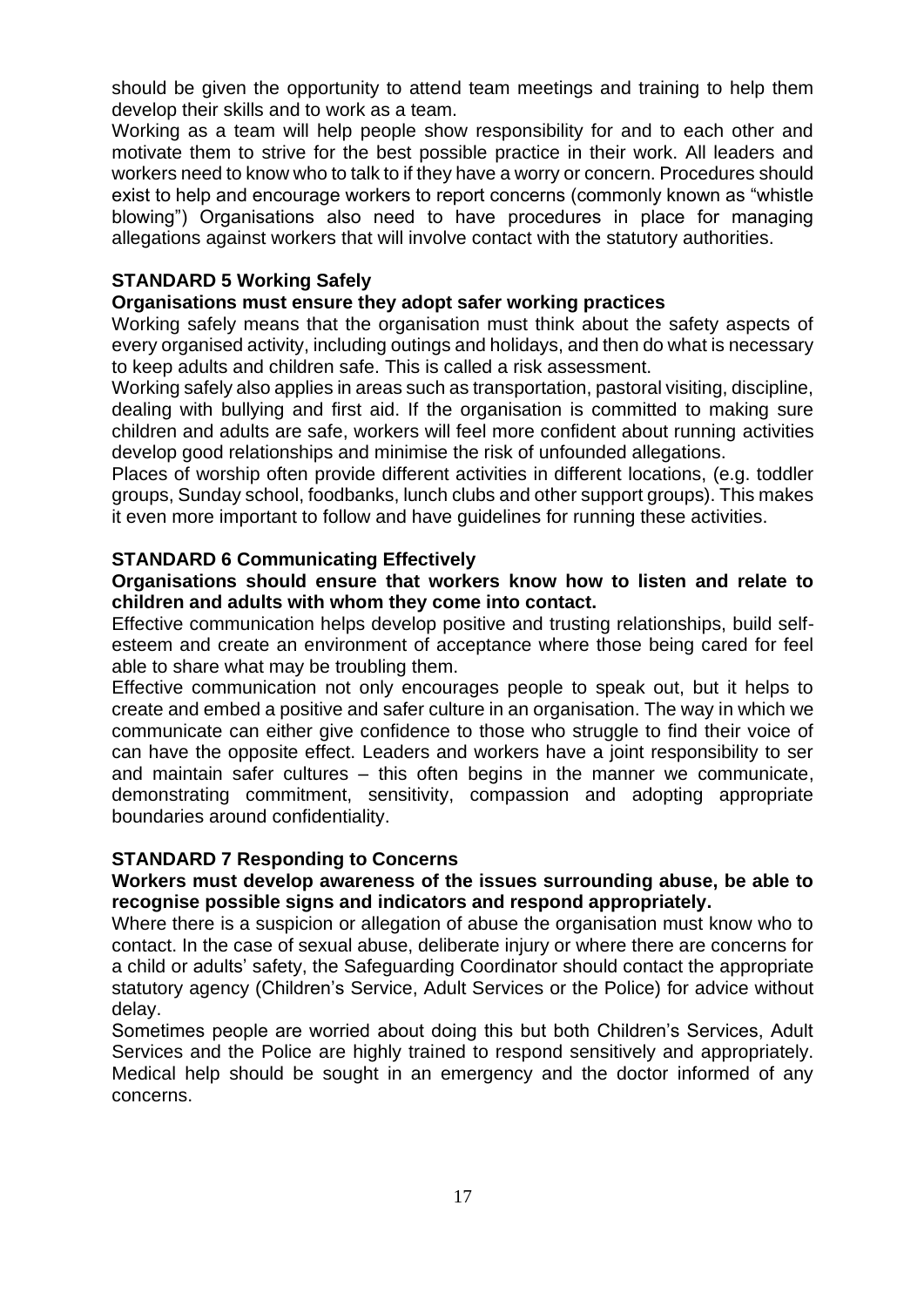should be given the opportunity to attend team meetings and training to help them develop their skills and to work as a team.

Working as a team will help people show responsibility for and to each other and motivate them to strive for the best possible practice in their work. All leaders and workers need to know who to talk to if they have a worry or concern. Procedures should exist to help and encourage workers to report concerns (commonly known as "whistle blowing") Organisations also need to have procedures in place for managing allegations against workers that will involve contact with the statutory authorities.

#### **STANDARD 5 Working Safely**

#### **Organisations must ensure they adopt safer working practices**

Working safely means that the organisation must think about the safety aspects of every organised activity, including outings and holidays, and then do what is necessary to keep adults and children safe. This is called a risk assessment.

Working safely also applies in areas such as transportation, pastoral visiting, discipline, dealing with bullying and first aid. If the organisation is committed to making sure children and adults are safe, workers will feel more confident about running activities develop good relationships and minimise the risk of unfounded allegations.

Places of worship often provide different activities in different locations, (e.g. toddler groups, Sunday school, foodbanks, lunch clubs and other support groups). This makes it even more important to follow and have guidelines for running these activities.

#### **STANDARD 6 Communicating Effectively**

#### **Organisations should ensure that workers know how to listen and relate to children and adults with whom they come into contact.**

Effective communication helps develop positive and trusting relationships, build selfesteem and create an environment of acceptance where those being cared for feel able to share what may be troubling them.

Effective communication not only encourages people to speak out, but it helps to create and embed a positive and safer culture in an organisation. The way in which we communicate can either give confidence to those who struggle to find their voice of can have the opposite effect. Leaders and workers have a joint responsibility to ser and maintain safer cultures – this often begins in the manner we communicate, demonstrating commitment, sensitivity, compassion and adopting appropriate boundaries around confidentiality.

#### **STANDARD 7 Responding to Concerns**

#### **Workers must develop awareness of the issues surrounding abuse, be able to recognise possible signs and indicators and respond appropriately.**

Where there is a suspicion or allegation of abuse the organisation must know who to contact. In the case of sexual abuse, deliberate injury or where there are concerns for a child or adults' safety, the Safeguarding Coordinator should contact the appropriate statutory agency (Children's Service, Adult Services or the Police) for advice without delay.

Sometimes people are worried about doing this but both Children's Services, Adult Services and the Police are highly trained to respond sensitively and appropriately. Medical help should be sought in an emergency and the doctor informed of any concerns.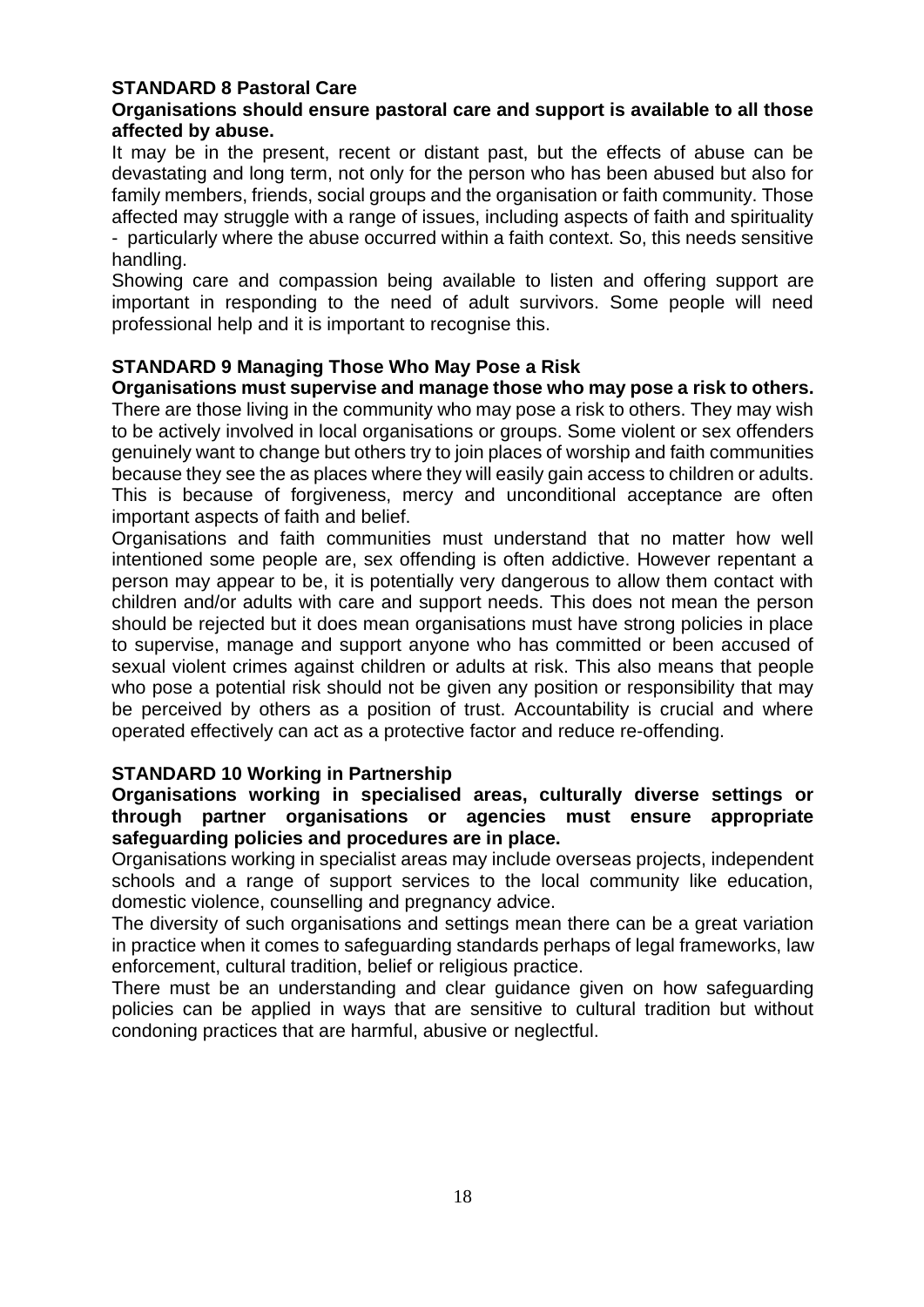#### **STANDARD 8 Pastoral Care**

#### **Organisations should ensure pastoral care and support is available to all those affected by abuse.**

It may be in the present, recent or distant past, but the effects of abuse can be devastating and long term, not only for the person who has been abused but also for family members, friends, social groups and the organisation or faith community. Those affected may struggle with a range of issues, including aspects of faith and spirituality - particularly where the abuse occurred within a faith context. So, this needs sensitive handling.

Showing care and compassion being available to listen and offering support are important in responding to the need of adult survivors. Some people will need professional help and it is important to recognise this.

#### **STANDARD 9 Managing Those Who May Pose a Risk**

**Organisations must supervise and manage those who may pose a risk to others.** There are those living in the community who may pose a risk to others. They may wish to be actively involved in local organisations or groups. Some violent or sex offenders genuinely want to change but others try to join places of worship and faith communities because they see the as places where they will easily gain access to children or adults. This is because of forgiveness, mercy and unconditional acceptance are often important aspects of faith and belief.

Organisations and faith communities must understand that no matter how well intentioned some people are, sex offending is often addictive. However repentant a person may appear to be, it is potentially very dangerous to allow them contact with children and/or adults with care and support needs. This does not mean the person should be rejected but it does mean organisations must have strong policies in place to supervise, manage and support anyone who has committed or been accused of sexual violent crimes against children or adults at risk. This also means that people who pose a potential risk should not be given any position or responsibility that may be perceived by others as a position of trust. Accountability is crucial and where operated effectively can act as a protective factor and reduce re-offending.

#### **STANDARD 10 Working in Partnership**

#### **Organisations working in specialised areas, culturally diverse settings or through partner organisations or agencies must ensure appropriate safeguarding policies and procedures are in place.**

Organisations working in specialist areas may include overseas projects, independent schools and a range of support services to the local community like education, domestic violence, counselling and pregnancy advice.

The diversity of such organisations and settings mean there can be a great variation in practice when it comes to safeguarding standards perhaps of legal frameworks, law enforcement, cultural tradition, belief or religious practice.

There must be an understanding and clear guidance given on how safeguarding policies can be applied in ways that are sensitive to cultural tradition but without condoning practices that are harmful, abusive or neglectful.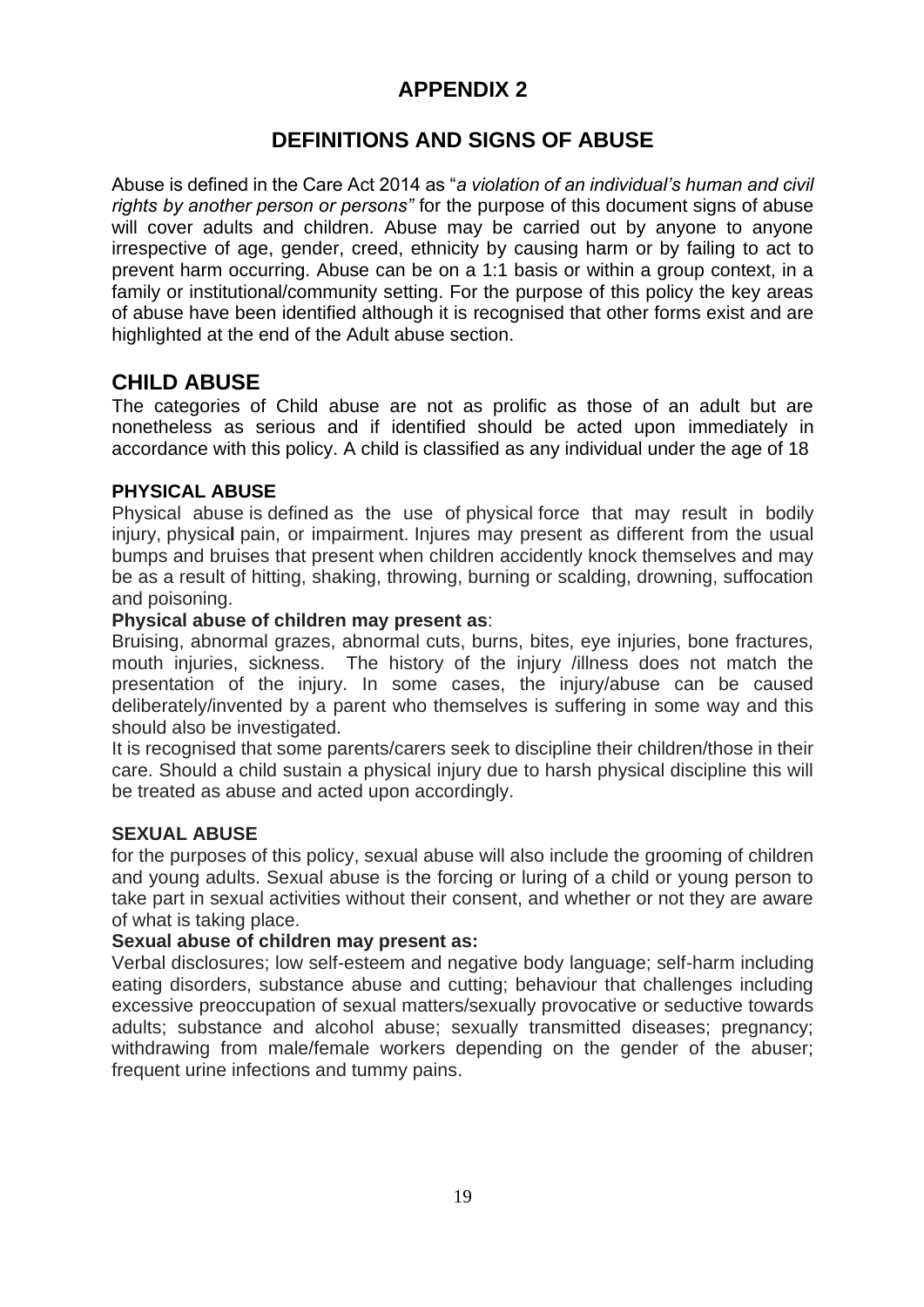## **APPENDIX 2**

## **DEFINITIONS AND SIGNS OF ABUSE**

Abuse is defined in the Care Act 2014 as "*a violation of an individual's human and civil rights by another person or persons"* for the purpose of this document signs of abuse will cover adults and children. Abuse may be carried out by anyone to anyone irrespective of age, gender, creed, ethnicity by causing harm or by failing to act to prevent harm occurring. Abuse can be on a 1:1 basis or within a group context, in a family or institutional/community setting. For the purpose of this policy the key areas of abuse have been identified although it is recognised that other forms exist and are highlighted at the end of the Adult abuse section.

#### **CHILD ABUSE**

The categories of Child abuse are not as prolific as those of an adult but are nonetheless as serious and if identified should be acted upon immediately in accordance with this policy. A child is classified as any individual under the age of 18

#### **PHYSICAL ABUSE**

Physical abuse is defined as the use of physical force that may result in bodily injury, physica**l** pain, or impairment. Injures may present as different from the usual bumps and bruises that present when children accidently knock themselves and may be as a result of hitting, shaking, throwing, burning or scalding, drowning, suffocation and poisoning.

#### **Physical abuse of children may present as**:

Bruising, abnormal grazes, abnormal cuts, burns, bites, eye injuries, bone fractures, mouth injuries, sickness. The history of the injury /illness does not match the presentation of the injury. In some cases, the injury/abuse can be caused deliberately/invented by a parent who themselves is suffering in some way and this should also be investigated.

It is recognised that some parents/carers seek to discipline their children/those in their care. Should a child sustain a physical injury due to harsh physical discipline this will be treated as abuse and acted upon accordingly.

#### **SEXUAL ABUSE**

for the purposes of this policy, sexual abuse will also include the grooming of children and young adults. Sexual abuse is the forcing or luring of a child or young person to take part in sexual activities without their consent, and whether or not they are aware of what is taking place.

#### **Sexual abuse of children may present as:**

Verbal disclosures; low self-esteem and negative body language; self-harm including eating disorders, substance abuse and cutting; behaviour that challenges including excessive preoccupation of sexual matters/sexually provocative or seductive towards adults; substance and alcohol abuse; sexually transmitted diseases; pregnancy; withdrawing from male/female workers depending on the gender of the abuser; frequent urine infections and tummy pains.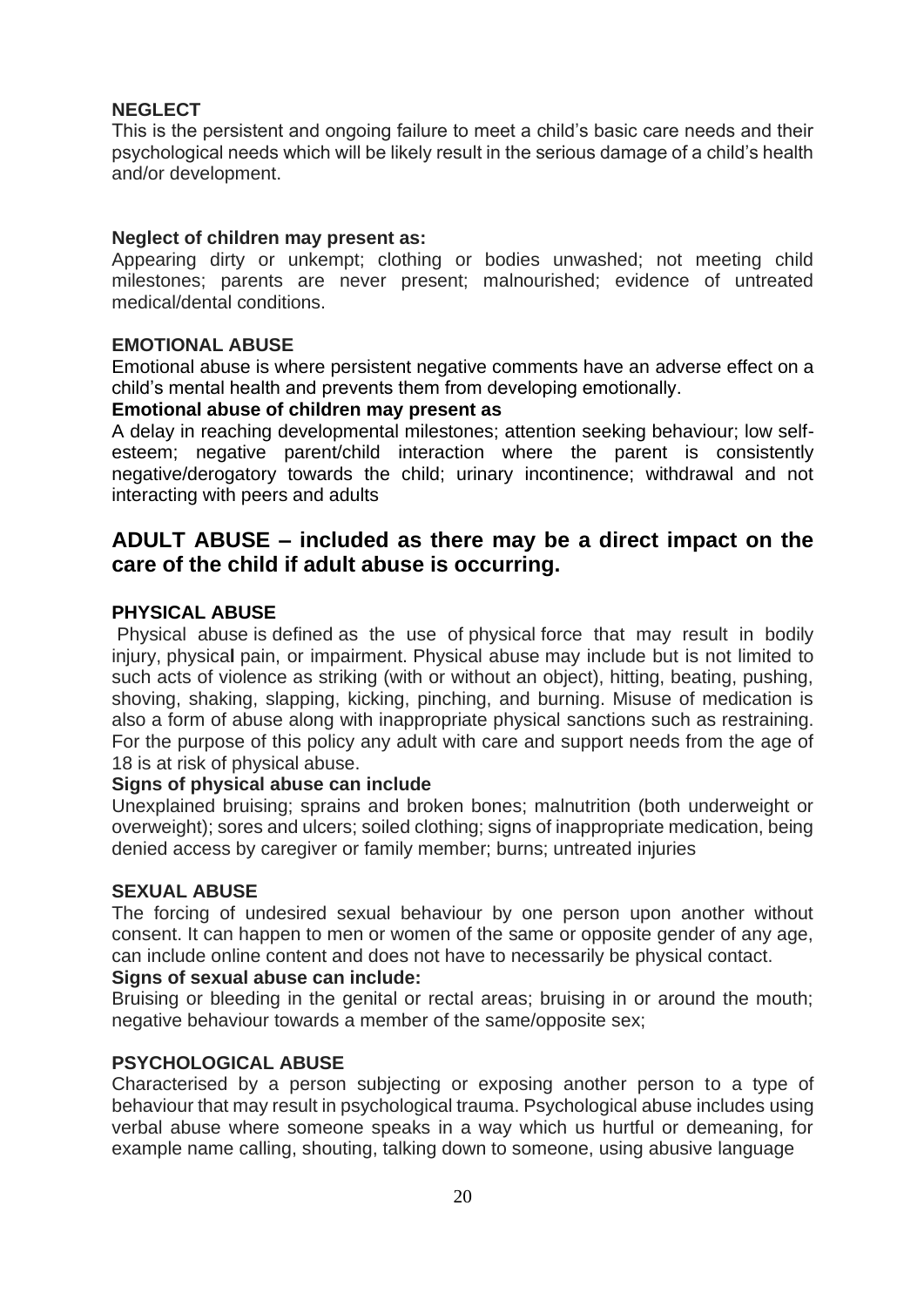#### **NEGLECT**

This is the persistent and ongoing failure to meet a child's basic care needs and their psychological needs which will be likely result in the serious damage of a child's health and/or development.

#### **Neglect of children may present as:**

Appearing dirty or unkempt; clothing or bodies unwashed; not meeting child milestones; parents are never present; malnourished; evidence of untreated medical/dental conditions.

#### **EMOTIONAL ABUSE**

Emotional abuse is where persistent negative comments have an adverse effect on a child's mental health and prevents them from developing emotionally.

#### **Emotional abuse of children may present as**

A delay in reaching developmental milestones; attention seeking behaviour; low selfesteem; negative parent/child interaction where the parent is consistently negative/derogatory towards the child; urinary incontinence; withdrawal and not interacting with peers and adults

## **ADULT ABUSE – included as there may be a direct impact on the care of the child if adult abuse is occurring.**

#### **PHYSICAL ABUSE**

Physical abuse is defined as the use of physical force that may result in bodily injury, physica**l** pain, or impairment. Physical abuse may include but is not limited to such acts of violence as striking (with or without an object), hitting, beating, pushing, shoving, shaking, slapping, kicking, pinching, and burning. Misuse of medication is also a form of abuse along with inappropriate physical sanctions such as restraining. For the purpose of this policy any adult with care and support needs from the age of 18 is at risk of physical abuse.

#### **Signs of physical abuse can include**

Unexplained bruising; sprains and broken bones; malnutrition (both underweight or overweight); sores and ulcers; soiled clothing; signs of inappropriate medication, being denied access by caregiver or family member; burns; untreated injuries

#### **SEXUAL ABUSE**

The forcing of undesired sexual behaviour by one person upon another without consent. It can happen to men or women of the same or opposite gender of any age, can include online content and does not have to necessarily be physical contact.

#### **Signs of sexual abuse can include:**

Bruising or bleeding in the genital or rectal areas; bruising in or around the mouth; negative behaviour towards a member of the same/opposite sex;

#### **PSYCHOLOGICAL ABUSE**

Characterised by a person subjecting or exposing another person to a type of behaviour that may result in psychological trauma. Psychological abuse includes using verbal abuse where someone speaks in a way which us hurtful or demeaning, for example name calling, shouting, talking down to someone, using abusive language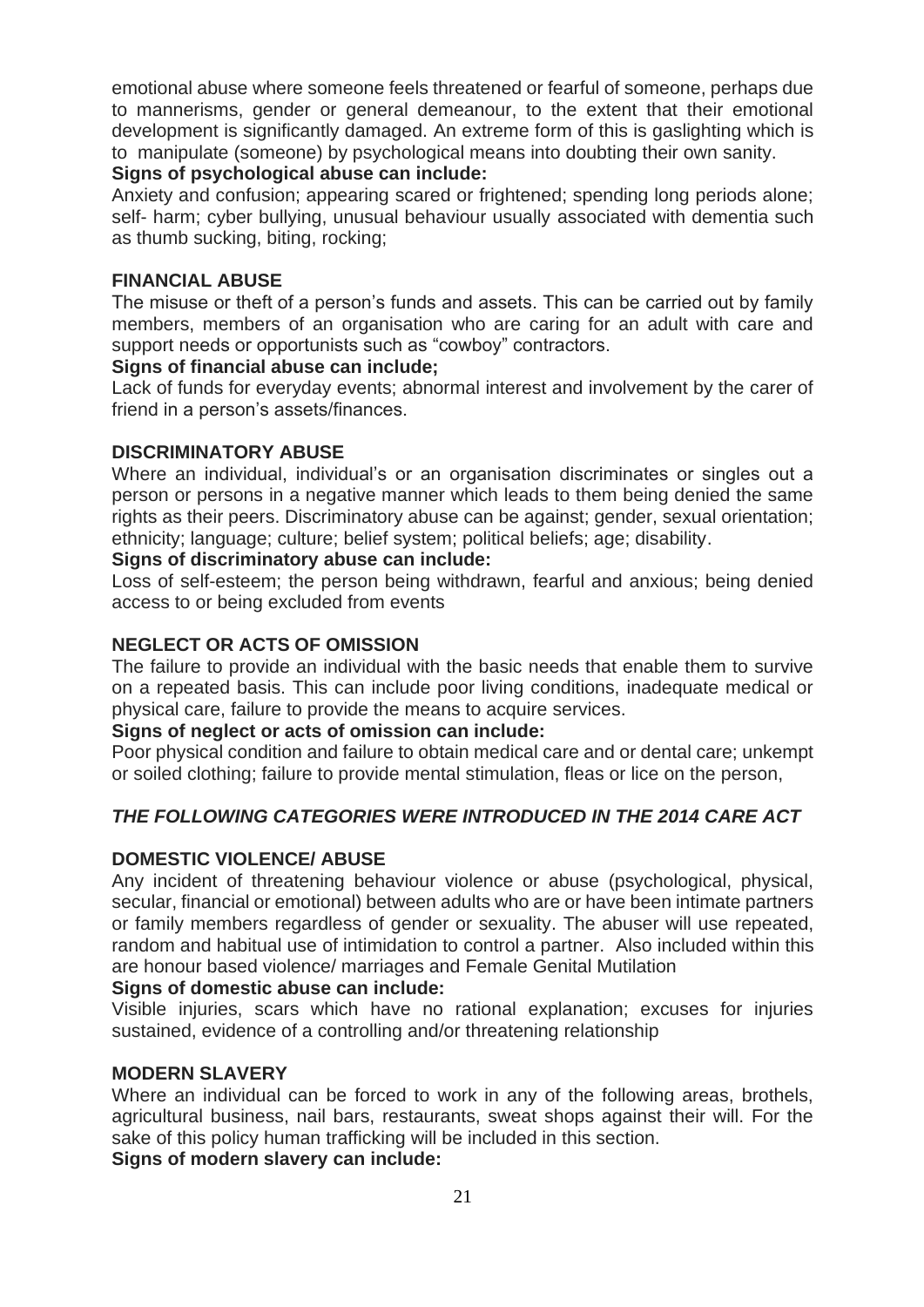emotional abuse where someone feels threatened or fearful of someone, perhaps due to mannerisms, gender or general demeanour, to the extent that their emotional development is significantly damaged. An extreme form of this is gaslighting which is to manipulate (someone) by psychological means into doubting their own sanity.

#### **Signs of psychological abuse can include:**

Anxiety and confusion; appearing scared or frightened; spending long periods alone; self- harm; cyber bullying, unusual behaviour usually associated with dementia such as thumb sucking, biting, rocking;

#### **FINANCIAL ABUSE**

The misuse or theft of a person's funds and assets. This can be carried out by family members, members of an organisation who are caring for an adult with care and support needs or opportunists such as "cowboy" contractors.

#### **Signs of financial abuse can include;**

Lack of funds for everyday events; abnormal interest and involvement by the carer of friend in a person's assets/finances.

#### **DISCRIMINATORY ABUSE**

Where an individual, individual's or an organisation discriminates or singles out a person or persons in a negative manner which leads to them being denied the same rights as their peers. Discriminatory abuse can be against; gender, sexual orientation; ethnicity; language; culture; belief system; political beliefs; age; disability.

#### **Signs of discriminatory abuse can include:**

Loss of self-esteem; the person being withdrawn, fearful and anxious; being denied access to or being excluded from events

#### **NEGLECT OR ACTS OF OMISSION**

The failure to provide an individual with the basic needs that enable them to survive on a repeated basis. This can include poor living conditions, inadequate medical or physical care, failure to provide the means to acquire services.

#### **Signs of neglect or acts of omission can include:**

Poor physical condition and failure to obtain medical care and or dental care; unkempt or soiled clothing; failure to provide mental stimulation, fleas or lice on the person,

#### *THE FOLLOWING CATEGORIES WERE INTRODUCED IN THE 2014 CARE ACT*

#### **DOMESTIC VIOLENCE/ ABUSE**

Any incident of threatening behaviour violence or abuse (psychological, physical, secular, financial or emotional) between adults who are or have been intimate partners or family members regardless of gender or sexuality. The abuser will use repeated, random and habitual use of intimidation to control a partner. Also included within this are honour based violence/ marriages and Female Genital Mutilation

#### **Signs of domestic abuse can include:**

Visible injuries, scars which have no rational explanation; excuses for injuries sustained, evidence of a controlling and/or threatening relationship

#### **MODERN SLAVERY**

Where an individual can be forced to work in any of the following areas, brothels, agricultural business, nail bars, restaurants, sweat shops against their will. For the sake of this policy human trafficking will be included in this section.

**Signs of modern slavery can include:**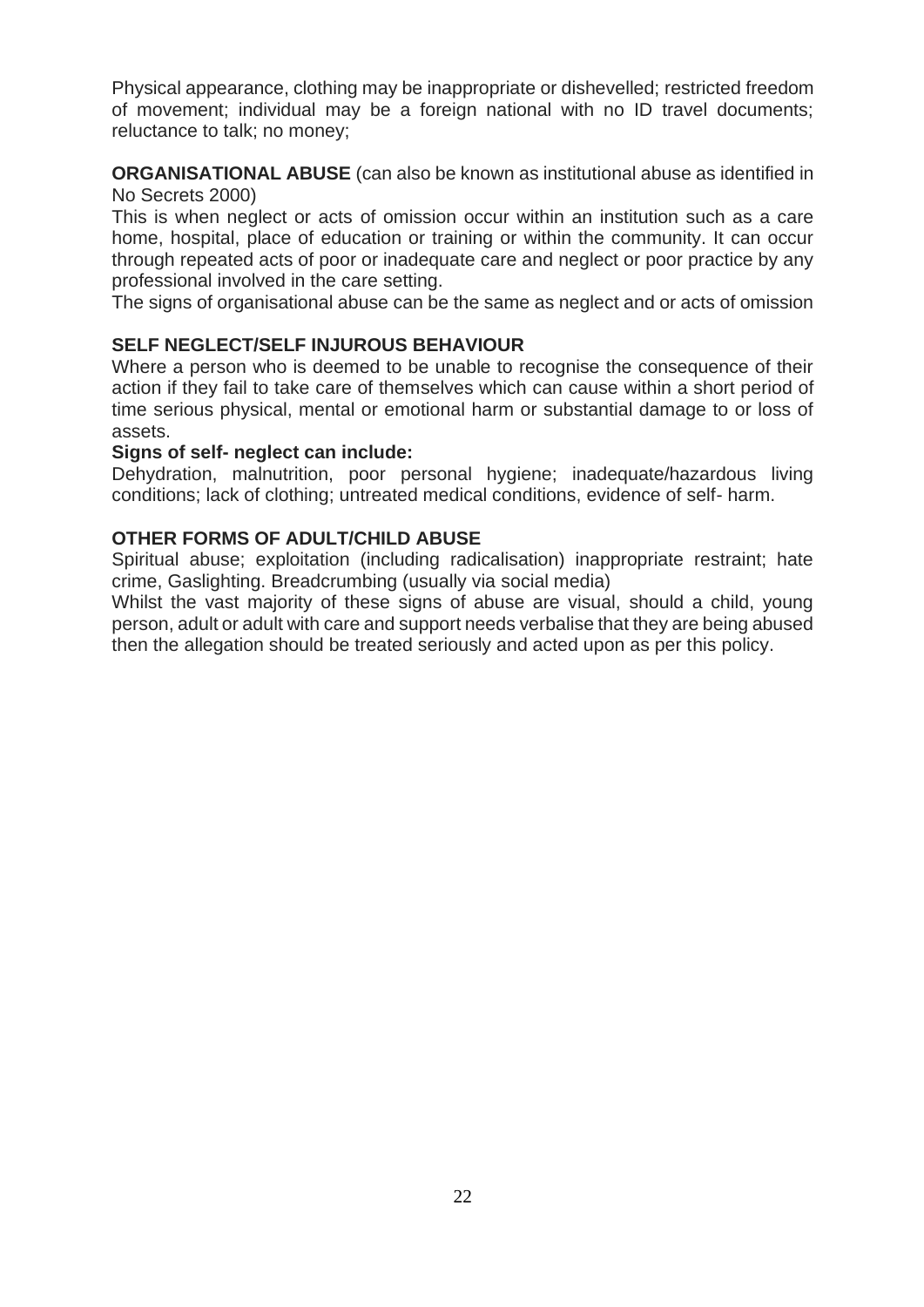Physical appearance, clothing may be inappropriate or dishevelled; restricted freedom of movement; individual may be a foreign national with no ID travel documents; reluctance to talk; no money;

**ORGANISATIONAL ABUSE** (can also be known as institutional abuse as identified in No Secrets 2000)

This is when neglect or acts of omission occur within an institution such as a care home, hospital, place of education or training or within the community. It can occur through repeated acts of poor or inadequate care and neglect or poor practice by any professional involved in the care setting.

The signs of organisational abuse can be the same as neglect and or acts of omission

#### **SELF NEGLECT/SELF INJUROUS BEHAVIOUR**

Where a person who is deemed to be unable to recognise the consequence of their action if they fail to take care of themselves which can cause within a short period of time serious physical, mental or emotional harm or substantial damage to or loss of assets.

#### **Signs of self- neglect can include:**

Dehydration, malnutrition, poor personal hygiene; inadequate/hazardous living conditions; lack of clothing; untreated medical conditions, evidence of self- harm.

#### **OTHER FORMS OF ADULT/CHILD ABUSE**

Spiritual abuse; exploitation (including radicalisation) inappropriate restraint; hate crime, Gaslighting. Breadcrumbing (usually via social media)

Whilst the vast majority of these signs of abuse are visual, should a child, young person, adult or adult with care and support needs verbalise that they are being abused then the allegation should be treated seriously and acted upon as per this policy.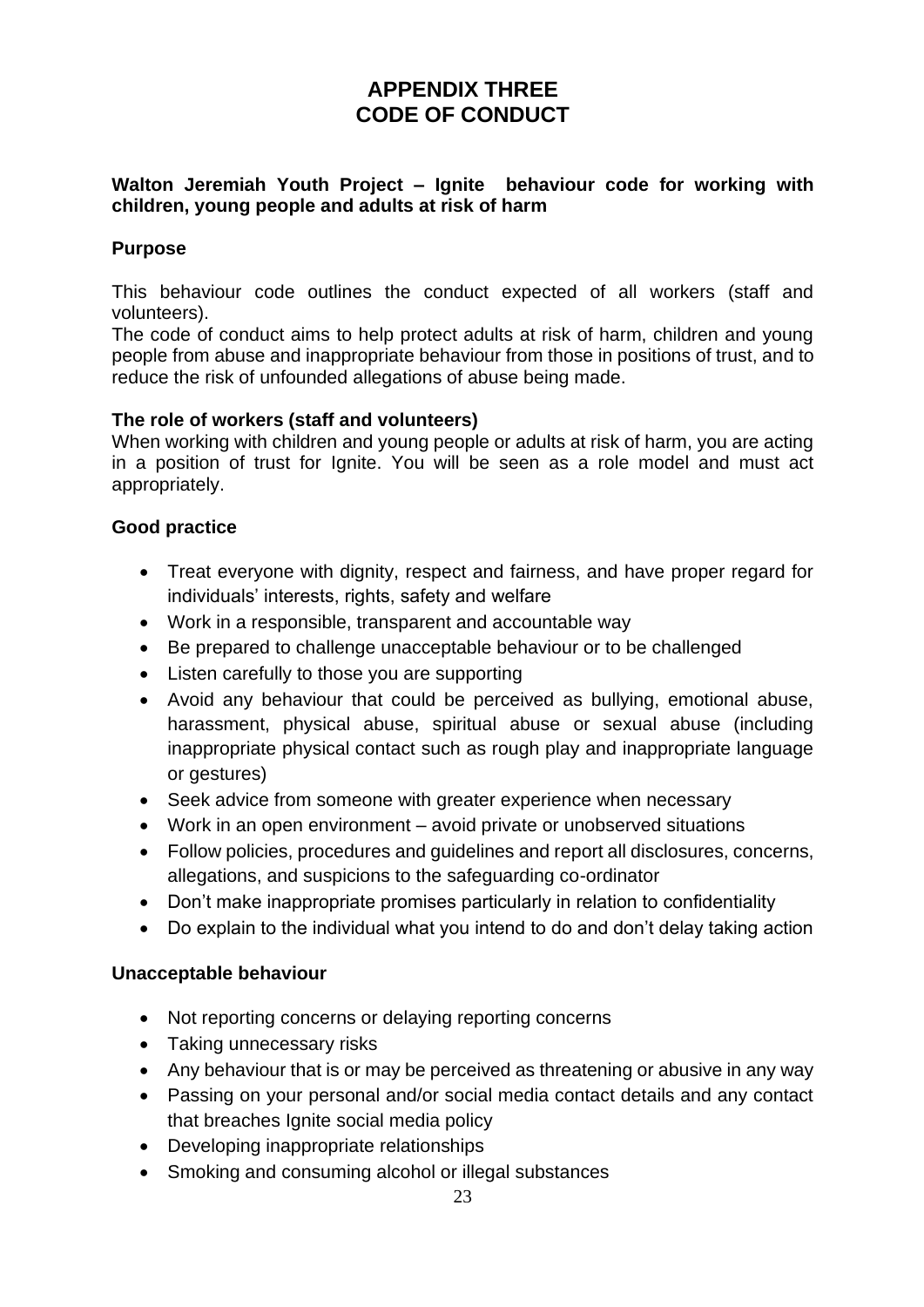## **APPENDIX THREE CODE OF CONDUCT**

#### **Walton Jeremiah Youth Project – Ignite behaviour code for working with children, young people and adults at risk of harm**

#### **Purpose**

This behaviour code outlines the conduct expected of all workers (staff and volunteers).

The code of conduct aims to help protect adults at risk of harm, children and young people from abuse and inappropriate behaviour from those in positions of trust, and to reduce the risk of unfounded allegations of abuse being made.

#### **The role of workers (staff and volunteers)**

When working with children and young people or adults at risk of harm, you are acting in a position of trust for Ignite. You will be seen as a role model and must act appropriately.

#### **Good practice**

- Treat everyone with dignity, respect and fairness, and have proper regard for individuals' interests, rights, safety and welfare
- Work in a responsible, transparent and accountable way
- Be prepared to challenge unacceptable behaviour or to be challenged
- Listen carefully to those you are supporting
- Avoid any behaviour that could be perceived as bullying, emotional abuse, harassment, physical abuse, spiritual abuse or sexual abuse (including inappropriate physical contact such as rough play and inappropriate language or gestures)
- Seek advice from someone with greater experience when necessary
- Work in an open environment avoid private or unobserved situations
- Follow policies, procedures and guidelines and report all disclosures, concerns, allegations, and suspicions to the safeguarding co-ordinator
- Don't make inappropriate promises particularly in relation to confidentiality
- Do explain to the individual what you intend to do and don't delay taking action

#### **Unacceptable behaviour**

- Not reporting concerns or delaying reporting concerns
- Taking unnecessary risks
- Any behaviour that is or may be perceived as threatening or abusive in any way
- Passing on your personal and/or social media contact details and any contact that breaches Ignite social media policy
- Developing inappropriate relationships
- Smoking and consuming alcohol or illegal substances